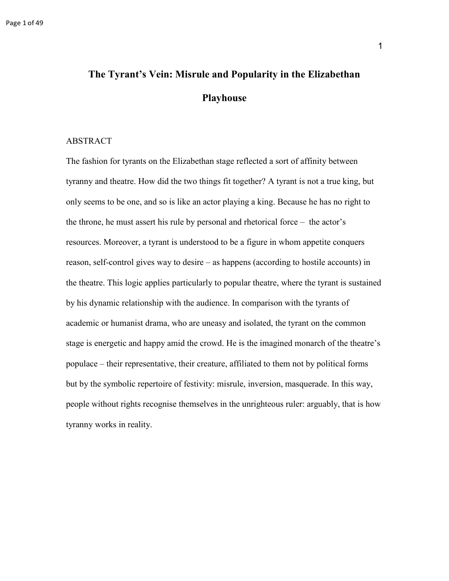# **The Tyrant's Vein: Misrule and Popularity in the Elizabethan Playhouse**

#### ABSTRACT

The fashion for tyrants on the Elizabethan stage reflected a sort of affinity between tyranny and theatre. How did the two things fit together? A tyrant is not a true king, but only seems to be one, and so is like an actor playing a king. Because he has no right to the throne, he must assert his rule by personal and rhetorical force – the actor's resources. Moreover, a tyrant is understood to be a figure in whom appetite conquers reason, self-control gives way to desire – as happens (according to hostile accounts) in the theatre. This logic applies particularly to popular theatre, where the tyrant is sustained by his dynamic relationship with the audience. In comparison with the tyrants of academic or humanist drama, who are uneasy and isolated, the tyrant on the common stage is energetic and happy amid the crowd. He is the imagined monarch of the theatre's populace – their representative, their creature, affiliated to them not by political forms but by the symbolic repertoire of festivity: misrule, inversion, masquerade. In this way, people without rights recognise themselves in the unrighteous ruler: arguably, that is how tyranny works in reality.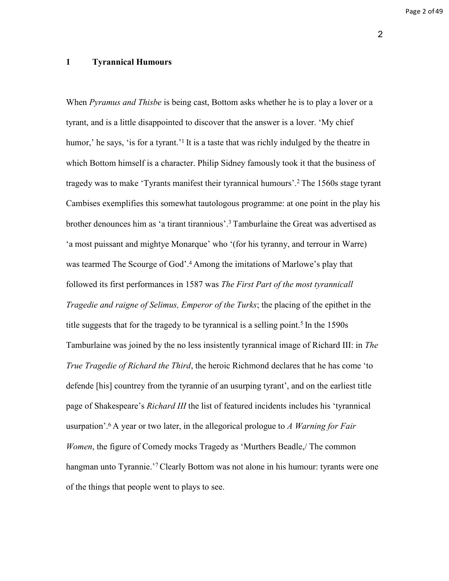Page 2 of 49

# **1 Tyrannical Humours**

When *Pyramus and Thisbe* is being cast, Bottom asks whether he is to play a lover or a tyrant, and is a little disappointed to discover that the answer is a lover. 'My chief humor,' he says, 'is for a tyrant.'<sup>1</sup> It is a taste that was richly indulged by the theatre in which Bottom himself is a character. Philip Sidney famously took it that the business of tragedy was to make 'Tyrants manifest their tyrannical humours'.<sup>2</sup>The 1560s stage tyrant Cambises exemplifies this somewhat tautologous programme: at one point in the play his brother denounces him as 'a tirant tirannious'.<sup>3</sup> Tamburlaine the Great was advertised as 'a most puissant and mightye Monarque' who '(for his tyranny, and terrour in Warre) was tearmed The Scourge of God'.<sup>4</sup>Among the imitations of Marlowe's play that followed its first performances in 1587 was *The First Part of the most tyrannicall Tragedie and raigne of Selimus, Emperor of the Turks*; the placing of the epithet in the title suggests that for the tragedy to be tyrannical is a selling point.<sup>5</sup> In the 1590s Tamburlaine was joined by the no less insistently tyrannical image of Richard III: in *The True Tragedie of Richard the Third*, the heroic Richmond declares that he has come 'to defende [his] countrey from the tyrannie of an usurping tyrant', and on the earliest title page of Shakespeare's *Richard III* the list of featured incidents includes his 'tyrannical usurpation'.<sup>6</sup>A year or two later, in the allegorical prologue to *A Warning for Fair Women*, the figure of Comedy mocks Tragedy as 'Murthers Beadle,/ The common hangman unto Tyrannie.<sup>'7</sup> Clearly Bottom was not alone in his humour: tyrants were one of the things that people went to plays to see.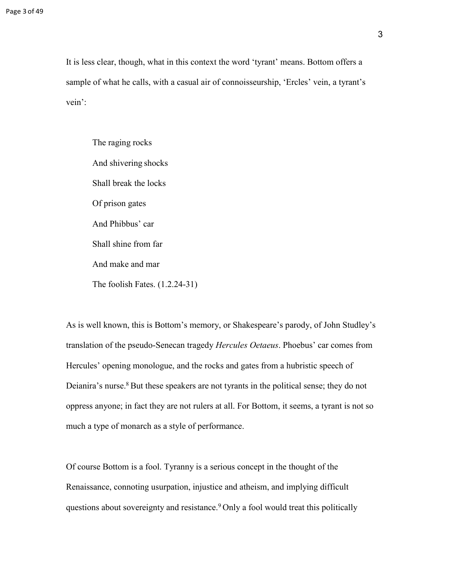It is less clear, though, what in this context the word 'tyrant' means. Bottom offers a sample of what he calls, with a casual air of connoisseurship, 'Ercles' vein, a tyrant's vein':

The raging rocks And shivering shocks Shall break the locks Of prison gates And Phibbus' car Shall shine from far And make and mar The foolish Fates. (1.2.24-31)

As is well known, this is Bottom's memory, or Shakespeare's parody, of John Studley's translation of the pseudo-Senecan tragedy *Hercules Oetaeus*. Phoebus' car comes from Hercules' opening monologue, and the rocks and gates from a hubristic speech of Deianira's nurse.<sup>8</sup> But these speakers are not tyrants in the political sense; they do not oppress anyone; in fact they are not rulers at all. For Bottom, it seems, a tyrant is not so much a type of monarch as a style of performance.

Of course Bottom is a fool. Tyranny is a serious concept in the thought of the Renaissance, connoting usurpation, injustice and atheism, and implying difficult questions about sovereignty and resistance.<sup>9</sup> Only a fool would treat this politically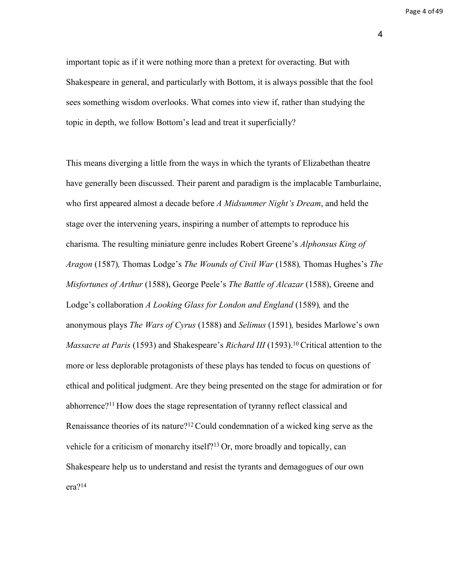Page 4 of 49

4

important topic as if it were nothing more than a pretext for overacting. But with Shakespeare in general, and particularly with Bottom, it is always possible that the fool sees something wisdom overlooks. What comes into view if, rather than studying the topic in depth, we follow Bottom's lead and treat it superficially?

This means diverging a little from the ways in which the tyrants of Elizabethan theatre have generally been discussed. Their parent and paradigm is the implacable Tamburlaine, who first appeared almost a decade before *A Midsummer Night's Dream*, and held the stage over the intervening years, inspiring a number of attempts to reproduce his charisma. The resulting miniature genre includes Robert Greene's *Alphonsus King of Aragon* (1587)*,* Thomas Lodge's *The Wounds of Civil War* (1588)*,* Thomas Hughes's *The Misfortunes of Arthur* (1588), George Peele's *The Battle of Alcazar* (1588), Greene and Lodge's collaboration *A Looking Glass for London and England* (1589)*,* and the anonymous plays *The Wars of Cyrus* (1588) and *Selimus* (1591)*,* besides Marlowe's own *Massacre at Paris* (1593) and Shakespeare's *Richard III* (1593).<sup>10</sup> Critical attention to the more or less deplorable protagonists of these plays has tended to focus on questions of ethical and political judgment. Are they being presented on the stage for admiration or for abhorrence?<sup>11</sup> How does the stage representation of tyranny reflect classical and Renaissance theories of its nature?<sup>12</sup>Could condemnation of a wicked king serve as the vehicle for a criticism of monarchy itself?<sup>13</sup> Or, more broadly and topically, can Shakespeare help us to understand and resist the tyrants and demagogues of our own era?14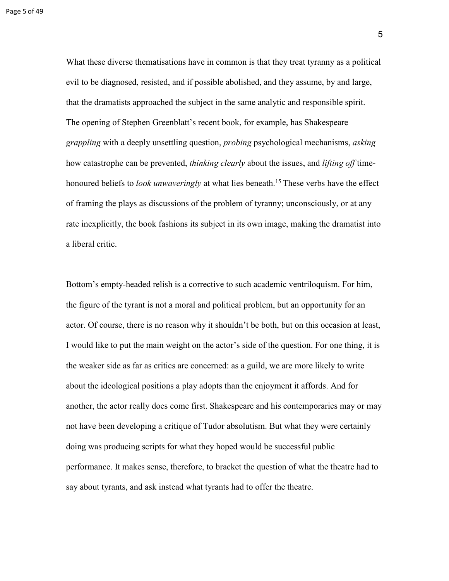What these diverse thematisations have in common is that they treat tyranny as a political evil to be diagnosed, resisted, and if possible abolished, and they assume, by and large, that the dramatists approached the subject in the same analytic and responsible spirit. The opening of Stephen Greenblatt's recent book, for example, has Shakespeare *grappling* with a deeply unsettling question, *probing* psychological mechanisms, *asking*  how catastrophe can be prevented, *thinking clearly* about the issues, and *lifting off* timehonoured beliefs to *look unwaveringly* at what lies beneath.<sup>15</sup> These verbs have the effect of framing the plays as discussions of the problem of tyranny; unconsciously, or at any rate inexplicitly, the book fashions its subject in its own image, making the dramatist into a liberal critic.

Bottom's empty-headed relish is a corrective to such academic ventriloquism. For him, the figure of the tyrant is not a moral and political problem, but an opportunity for an actor. Of course, there is no reason why it shouldn't be both, but on this occasion at least, I would like to put the main weight on the actor's side of the question. For one thing, it is the weaker side as far as critics are concerned: as a guild, we are more likely to write about the ideological positions a play adopts than the enjoyment it affords. And for another, the actor really does come first. Shakespeare and his contemporaries may or may not have been developing a critique of Tudor absolutism. But what they were certainly doing was producing scripts for what they hoped would be successful public performance. It makes sense, therefore, to bracket the question of what the theatre had to say about tyrants, and ask instead what tyrants had to offer the theatre.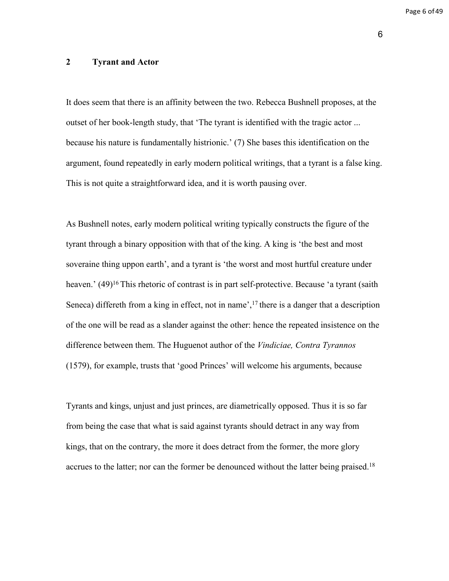Page 6 of 49

6

## **2 Tyrant and Actor**

It does seem that there is an affinity between the two. Rebecca Bushnell proposes, at the outset of her book-length study, that 'The tyrant is identified with the tragic actor ... because his nature is fundamentally histrionic.' (7) She bases this identification on the argument, found repeatedly in early modern political writings, that a tyrant is a false king. This is not quite a straightforward idea, and it is worth pausing over.

As Bushnell notes, early modern political writing typically constructs the figure of the tyrant through a binary opposition with that of the king. A king is 'the best and most soveraine thing uppon earth', and a tyrant is 'the worst and most hurtful creature under heaven.' (49)<sup>16</sup>This rhetoric of contrast is in part self-protective. Because 'a tyrant (saith Seneca) differeth from a king in effect, not in name',<sup>17</sup> there is a danger that a description of the one will be read as a slander against the other: hence the repeated insistence on the difference between them. The Huguenot author of the *Vindiciae, Contra Tyrannos*  (1579), for example, trusts that 'good Princes' will welcome his arguments, because

Tyrants and kings, unjust and just princes, are diametrically opposed. Thus it is so far from being the case that what is said against tyrants should detract in any way from kings, that on the contrary, the more it does detract from the former, the more glory accrues to the latter; nor can the former be denounced without the latter being praised.18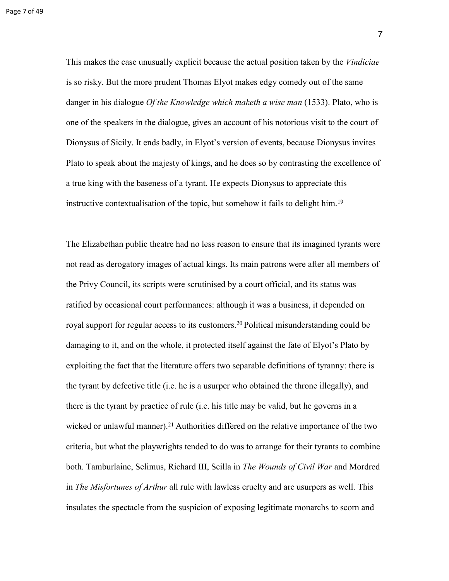is so risky. But the more prudent Thomas Elyot makes edgy comedy out of the same danger in his dialogue *Of the Knowledge which maketh a wise man* (1533). Plato, who is one of the speakers in the dialogue, gives an account of his notorious visit to the court of Dionysus of Sicily. It ends badly, in Elyot's version of events, because Dionysus invites Plato to speak about the majesty of kings, and he does so by contrasting the excellence of a true king with the baseness of a tyrant. He expects Dionysus to appreciate this instructive contextualisation of the topic, but somehow it fails to delight him.<sup>19</sup>

The Elizabethan public theatre had no less reason to ensure that its imagined tyrants were not read as derogatory images of actual kings. Its main patrons were after all members of the Privy Council, its scripts were scrutinised by a court official, and its status was ratified by occasional court performances: although it was a business, it depended on royal support for regular access to its customers.<sup>20</sup> Political misunderstanding could be damaging to it, and on the whole, it protected itself against the fate of Elyot's Plato by exploiting the fact that the literature offers two separable definitions of tyranny: there is the tyrant by defective title (i.e. he is a usurper who obtained the throne illegally), and there is the tyrant by practice of rule (i.e. his title may be valid, but he governs in a wicked or unlawful manner).<sup>21</sup> Authorities differed on the relative importance of the two criteria, but what the playwrights tended to do was to arrange for their tyrants to combine both. Tamburlaine, Selimus, Richard III, Scilla in *The Wounds of Civil War* and Mordred in *The Misfortunes of Arthur* all rule with lawless cruelty and are usurpers as well. This insulates the spectacle from the suspicion of exposing legitimate monarchs to scorn and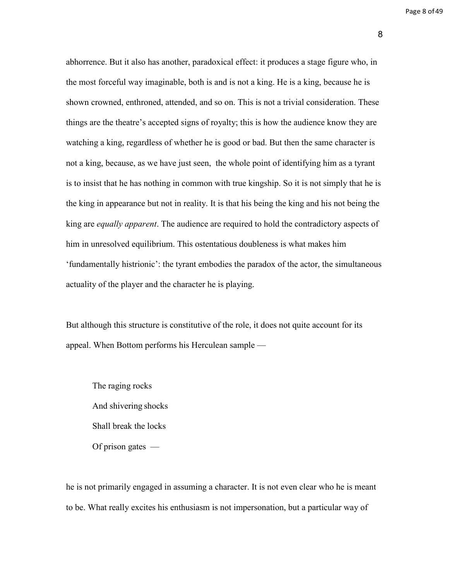abhorrence. But it also has another, paradoxical effect: it produces a stage figure who, in the most forceful way imaginable, both is and is not a king. He is a king, because he is shown crowned, enthroned, attended, and so on. This is not a trivial consideration. These things are the theatre's accepted signs of royalty; this is how the audience know they are watching a king, regardless of whether he is good or bad. But then the same character is not a king, because, as we have just seen, the whole point of identifying him as a tyrant is to insist that he has nothing in common with true kingship. So it is not simply that he is the king in appearance but not in reality. It is that his being the king and his not being the king are *equally apparent*. The audience are required to hold the contradictory aspects of him in unresolved equilibrium. This ostentatious doubleness is what makes him 'fundamentally histrionic': the tyrant embodies the paradox of the actor, the simultaneous actuality of the player and the character he is playing.

But although this structure is constitutive of the role, it does not quite account for its appeal. When Bottom performs his Herculean sample —

The raging rocks And shivering shocks Shall break the locks Of prison gates —

he is not primarily engaged in assuming a character. It is not even clear who he is meant to be. What really excites his enthusiasm is not impersonation, but a particular way of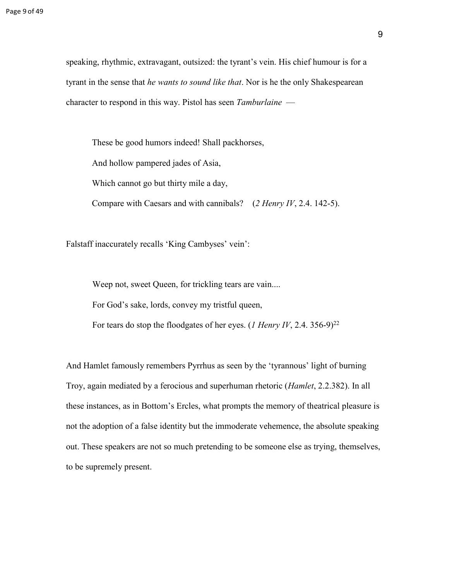speaking, rhythmic, extravagant, outsized: the tyrant's vein. His chief humour is for a tyrant in the sense that *he wants to sound like that*. Nor is he the only Shakespearean character to respond in this way. Pistol has seen *Tamburlaine* —

These be good humors indeed! Shall packhorses, And hollow pampered jades of Asia, Which cannot go but thirty mile a day, Compare with Caesars and with cannibals? (*2 Henry IV*, 2.4. 142-5).

Falstaff inaccurately recalls 'King Cambyses' vein':

Weep not, sweet Queen, for trickling tears are vain....

For God's sake, lords, convey my tristful queen,

For tears do stop the floodgates of her eyes. (*1 Henry IV*, 2.4. 356-9)<sup>22</sup>

And Hamlet famously remembers Pyrrhus as seen by the 'tyrannous' light of burning Troy, again mediated by a ferocious and superhuman rhetoric (*Hamlet*, 2.2.382). In all these instances, as in Bottom's Ercles, what prompts the memory of theatrical pleasure is not the adoption of a false identity but the immoderate vehemence, the absolute speaking out. These speakers are not so much pretending to be someone else as trying, themselves, to be supremely present.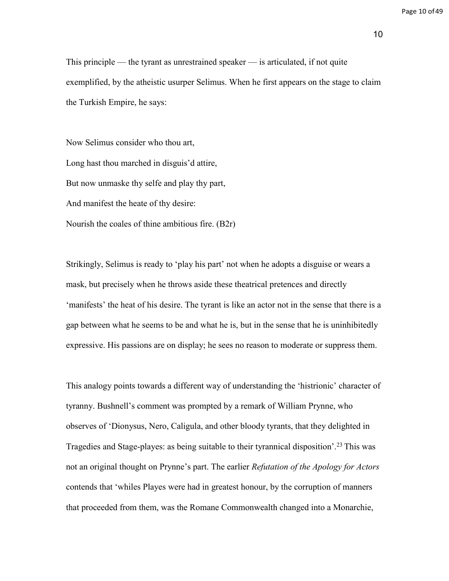This principle — the tyrant as unrestrained speaker — is articulated, if not quite exemplified, by the atheistic usurper Selimus. When he first appears on the stage to claim the Turkish Empire, he says:

Now Selimus consider who thou art, Long hast thou marched in disguis'd attire, But now unmaske thy selfe and play thy part, And manifest the heate of thy desire: Nourish the coales of thine ambitious fire. (B2r)

Strikingly, Selimus is ready to 'play his part' not when he adopts a disguise or wears a mask, but precisely when he throws aside these theatrical pretences and directly 'manifests' the heat of his desire. The tyrant is like an actor not in the sense that there is a gap between what he seems to be and what he is, but in the sense that he is uninhibitedly expressive. His passions are on display; he sees no reason to moderate or suppress them.

This analogy points towards a different way of understanding the 'histrionic' character of tyranny. Bushnell's comment was prompted by a remark of William Prynne, who observes of 'Dionysus, Nero, Caligula, and other bloody tyrants, that they delighted in Tragedies and Stage-playes: as being suitable to their tyrannical disposition'.<sup>23</sup>This was not an original thought on Prynne's part. The earlier *Refutation of the Apology for Actors*  contends that 'whiles Playes were had in greatest honour, by the corruption of manners that proceeded from them, was the Romane Commonwealth changed into a Monarchie,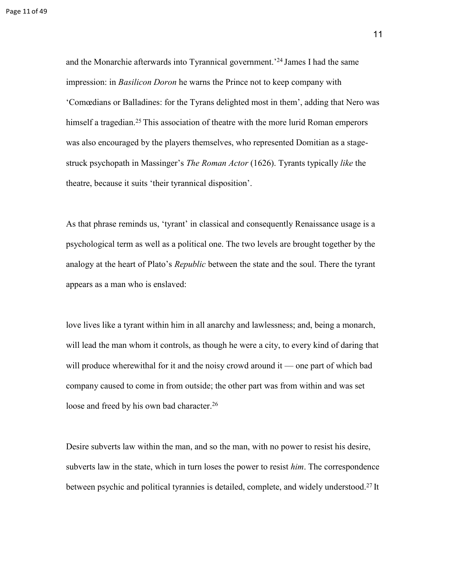and the Monarchie afterwards into Tyrannical government.'<sup>24</sup>James I had the same impression: in *Basilicon Doron* he warns the Prince not to keep company with 'Comœdians or Balladines: for the Tyrans delighted most in them', adding that Nero was himself a tragedian.<sup>25</sup> This association of theatre with the more lurid Roman emperors was also encouraged by the players themselves, who represented Domitian as a stagestruck psychopath in Massinger's *The Roman Actor* (1626). Tyrants typically *like* the theatre, because it suits 'their tyrannical disposition'.

As that phrase reminds us, 'tyrant' in classical and consequently Renaissance usage is a psychological term as well as a political one. The two levels are brought together by the analogy at the heart of Plato's *Republic* between the state and the soul. There the tyrant appears as a man who is enslaved:

love lives like a tyrant within him in all anarchy and lawlessness; and, being a monarch, will lead the man whom it controls, as though he were a city, to every kind of daring that will produce wherewithal for it and the noisy crowd around it — one part of which bad company caused to come in from outside; the other part was from within and was set loose and freed by his own bad character.<sup>26</sup>

Desire subverts law within the man, and so the man, with no power to resist his desire, subverts law in the state, which in turn loses the power to resist *him*. The correspondence between psychic and political tyrannies is detailed, complete, and widely understood.<sup>27</sup> It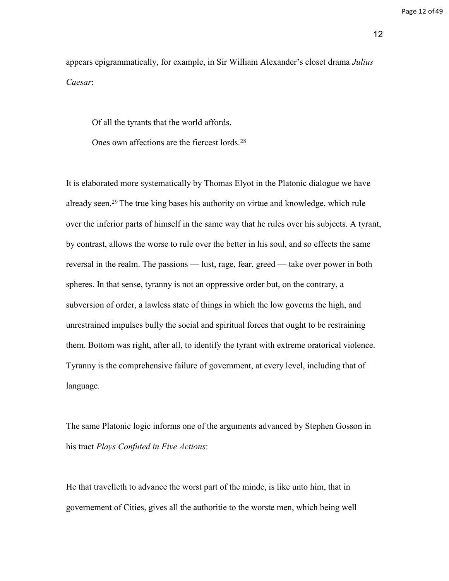Page 12 of 49

12

appears epigrammatically, for example, in Sir William Alexander's closet drama *Julius Caesar*:

Of all the tyrants that the world affords,

Ones own affections are the fiercest lords.<sup>28</sup>

It is elaborated more systematically by Thomas Elyot in the Platonic dialogue we have already seen.<sup>29</sup> The true king bases his authority on virtue and knowledge, which rule over the inferior parts of himself in the same way that he rules over his subjects. A tyrant, by contrast, allows the worse to rule over the better in his soul, and so effects the same reversal in the realm. The passions — lust, rage, fear, greed — take over power in both spheres. In that sense, tyranny is not an oppressive order but, on the contrary, a subversion of order, a lawless state of things in which the low governs the high, and unrestrained impulses bully the social and spiritual forces that ought to be restraining them. Bottom was right, after all, to identify the tyrant with extreme oratorical violence. Tyranny is the comprehensive failure of government, at every level, including that of language.

The same Platonic logic informs one of the arguments advanced by Stephen Gosson in his tract *Plays Confuted in Five Actions*:

He that travelleth to advance the worst part of the minde, is like unto him, that in governement of Cities, gives all the authoritie to the worste men, which being well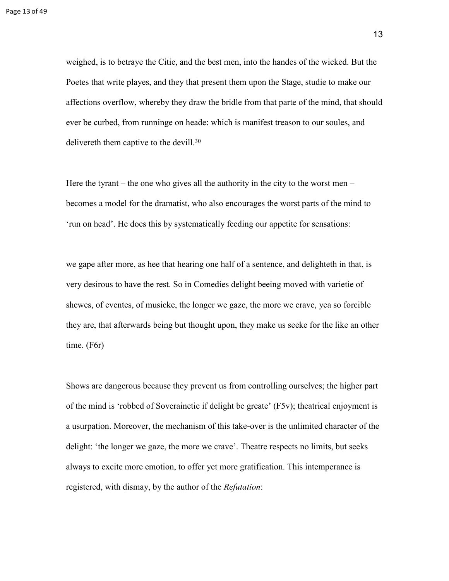weighed, is to betraye the Citie, and the best men, into the handes of the wicked. But the Poetes that write playes, and they that present them upon the Stage, studie to make our affections overflow, whereby they draw the bridle from that parte of the mind, that should ever be curbed, from runninge on heade: which is manifest treason to our soules, and delivereth them captive to the devill.<sup>30</sup>

Here the tyrant – the one who gives all the authority in the city to the worst men – becomes a model for the dramatist, who also encourages the worst parts of the mind to 'run on head'. He does this by systematically feeding our appetite for sensations:

we gape after more, as hee that hearing one half of a sentence, and delighteth in that, is very desirous to have the rest. So in Comedies delight beeing moved with varietie of shewes, of eventes, of musicke, the longer we gaze, the more we crave, yea so forcible they are, that afterwards being but thought upon, they make us seeke for the like an other time. (F6r)

Shows are dangerous because they prevent us from controlling ourselves; the higher part of the mind is 'robbed of Soverainetie if delight be greate' (F5v); theatrical enjoyment is a usurpation. Moreover, the mechanism of this take-over is the unlimited character of the delight: 'the longer we gaze, the more we crave'. Theatre respects no limits, but seeks always to excite more emotion, to offer yet more gratification. This intemperance is registered, with dismay, by the author of the *Refutation*: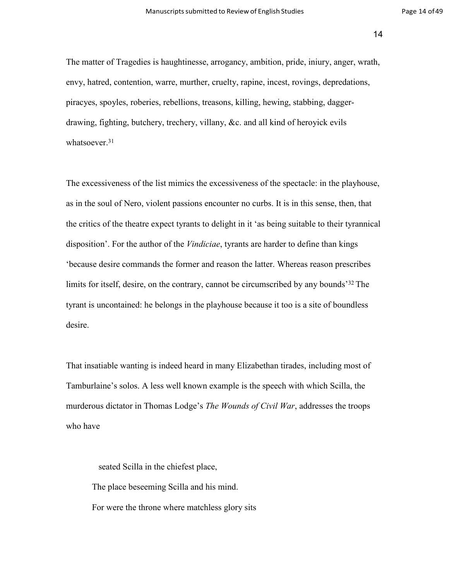14

The matter of Tragedies is haughtinesse, arrogancy, ambition, pride, iniury, anger, wrath, envy, hatred, contention, warre, murther, cruelty, rapine, incest, rovings, depredations, piracyes, spoyles, roberies, rebellions, treasons, killing, hewing, stabbing, daggerdrawing, fighting, butchery, trechery, villany, &c. and all kind of heroyick evils whatsoever.<sup>31</sup>

The excessiveness of the list mimics the excessiveness of the spectacle: in the playhouse, as in the soul of Nero, violent passions encounter no curbs. It is in this sense, then, that the critics of the theatre expect tyrants to delight in it 'as being suitable to their tyrannical disposition'. For the author of the *Vindiciae*, tyrants are harder to define than kings 'because desire commands the former and reason the latter. Whereas reason prescribes limits for itself, desire, on the contrary, cannot be circumscribed by any bounds<sup>32</sup> The tyrant is uncontained: he belongs in the playhouse because it too is a site of boundless desire.

That insatiable wanting is indeed heard in many Elizabethan tirades, including most of Tamburlaine's solos. A less well known example is the speech with which Scilla, the murderous dictator in Thomas Lodge's *The Wounds of Civil War*, addresses the troops who have

seated Scilla in the chiefest place, The place beseeming Scilla and his mind. For were the throne where matchless glory sits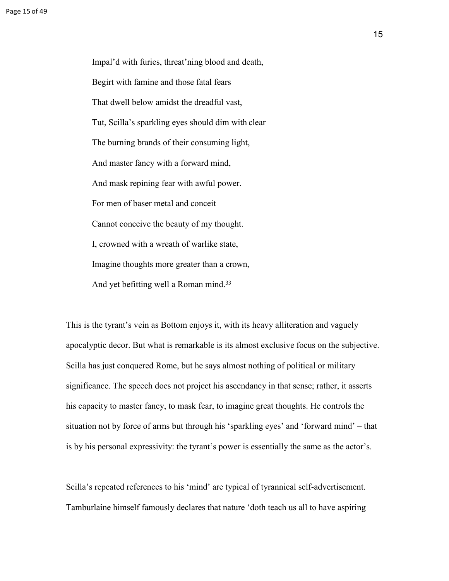Impal'd with furies, threat'ning blood and death, Begirt with famine and those fatal fears That dwell below amidst the dreadful vast, Tut, Scilla's sparkling eyes should dim with clear The burning brands of their consuming light, And master fancy with a forward mind, And mask repining fear with awful power. For men of baser metal and conceit Cannot conceive the beauty of my thought. I, crowned with a wreath of warlike state, Imagine thoughts more greater than a crown, And yet befitting well a Roman mind.<sup>33</sup>

This is the tyrant's vein as Bottom enjoys it, with its heavy alliteration and vaguely apocalyptic decor. But what is remarkable is its almost exclusive focus on the subjective. Scilla has just conquered Rome, but he says almost nothing of political or military significance. The speech does not project his ascendancy in that sense; rather, it asserts his capacity to master fancy, to mask fear, to imagine great thoughts. He controls the situation not by force of arms but through his 'sparkling eyes' and 'forward mind' – that is by his personal expressivity: the tyrant's power is essentially the same as the actor's.

Scilla's repeated references to his 'mind' are typical of tyrannical self-advertisement. Tamburlaine himself famously declares that nature 'doth teach us all to have aspiring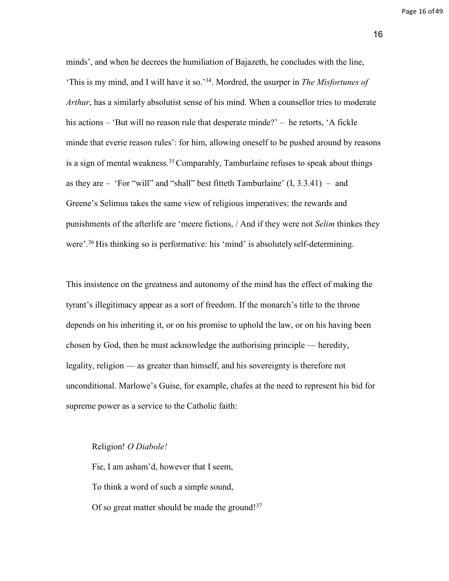minds', and when he decrees the humiliation of Bajazeth, he concludes with the line, 'This is my mind, and I will have it so.'<sup>34</sup>. Mordred, the usurper in *The Misfortunes of Arthur*, has a similarly absolutist sense of his mind. When a counsellor tries to moderate his actions – 'But will no reason rule that desperate minde?' – he retorts, 'A fickle minde that everie reason rules': for him, allowing oneself to be pushed around by reasons is a sign of mental weakness.<sup>35</sup> Comparably, Tamburlaine refuses to speak about things as they are  $-$  'For "will" and "shall" best fitteth Tamburlaine'  $(I, 3.3.41) -$  and Greene's Selimus takes the same view of religious imperatives: the rewards and punishments of the afterlife are 'meere fictions, / And if they were not *Selim* thinkes they were'.<sup>36</sup> His thinking so is performative: his 'mind' is absolutely self-determining.

This insistence on the greatness and autonomy of the mind has the effect of making the tyrant's illegitimacy appear as a sort of freedom. If the monarch's title to the throne depends on his inheriting it, or on his promise to uphold the law, or on his having been chosen by God, then he must acknowledge the authorising principle — heredity, legality, religion — as greater than himself, and his sovereignty is therefore not unconditional. Marlowe's Guise, for example, chafes at the need to represent his bid for supreme power as a service to the Catholic faith:

#### Religion! *O Diabole!*

Fie, I am asham'd, however that I seem, To think a word of such a simple sound, Of so great matter should be made the ground!<sup>37</sup>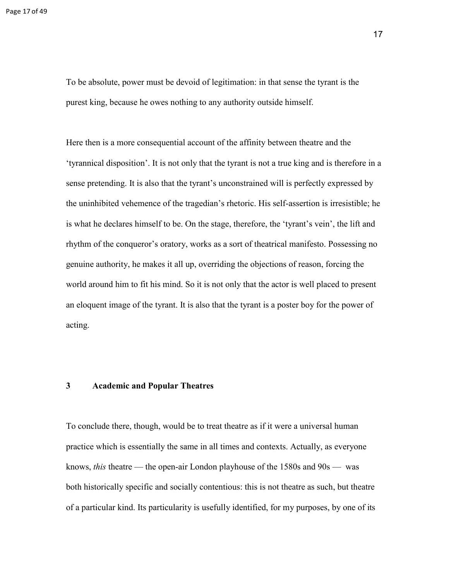To be absolute, power must be devoid of legitimation: in that sense the tyrant is the purest king, because he owes nothing to any authority outside himself.

Here then is a more consequential account of the affinity between theatre and the 'tyrannical disposition'. It is not only that the tyrant is not a true king and is therefore in a sense pretending. It is also that the tyrant's unconstrained will is perfectly expressed by the uninhibited vehemence of the tragedian's rhetoric. His self-assertion is irresistible; he is what he declares himself to be. On the stage, therefore, the 'tyrant's vein', the lift and rhythm of the conqueror's oratory, works as a sort of theatrical manifesto. Possessing no genuine authority, he makes it all up, overriding the objections of reason, forcing the world around him to fit his mind. So it is not only that the actor is well placed to present an eloquent image of the tyrant. It is also that the tyrant is a poster boy for the power of acting.

### **3 Academic and Popular Theatres**

To conclude there, though, would be to treat theatre as if it were a universal human practice which is essentially the same in all times and contexts. Actually, as everyone knows, *this* theatre — the open-air London playhouse of the 1580s and 90s — was both historically specific and socially contentious: this is not theatre as such, but theatre of a particular kind. Its particularity is usefully identified, for my purposes, by one of its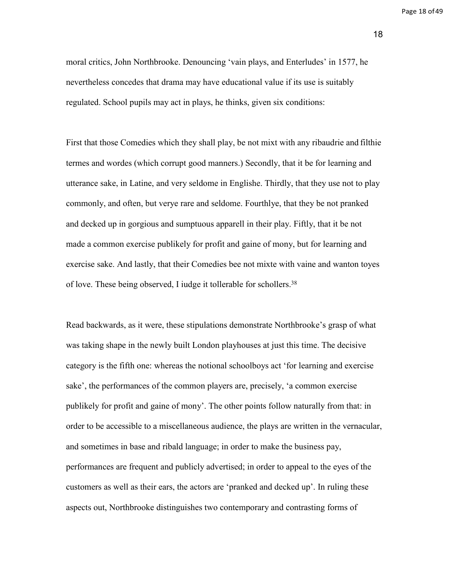Page 18 of 49

18

moral critics, John Northbrooke. Denouncing 'vain plays, and Enterludes' in 1577, he nevertheless concedes that drama may have educational value if its use is suitably regulated. School pupils may act in plays, he thinks, given six conditions:

First that those Comedies which they shall play, be not mixt with any ribaudrie and filthie termes and wordes (which corrupt good manners.) Secondly, that it be for learning and utterance sake, in Latine, and very seldome in Englishe. Thirdly, that they use not to play commonly, and often, but verye rare and seldome. Fourthlye, that they be not pranked and decked up in gorgious and sumptuous apparell in their play. Fiftly, that it be not made a common exercise publikely for profit and gaine of mony, but for learning and exercise sake. And lastly, that their Comedies bee not mixte with vaine and wanton toyes of love. These being observed, I iudge it tollerable for schollers.<sup>38</sup>

Read backwards, as it were, these stipulations demonstrate Northbrooke's grasp of what was taking shape in the newly built London playhouses at just this time. The decisive category is the fifth one: whereas the notional schoolboys act 'for learning and exercise sake', the performances of the common players are, precisely, 'a common exercise publikely for profit and gaine of mony'. The other points follow naturally from that: in order to be accessible to a miscellaneous audience, the plays are written in the vernacular, and sometimes in base and ribald language; in order to make the business pay, performances are frequent and publicly advertised; in order to appeal to the eyes of the customers as well as their ears, the actors are 'pranked and decked up'. In ruling these aspects out, Northbrooke distinguishes two contemporary and contrasting forms of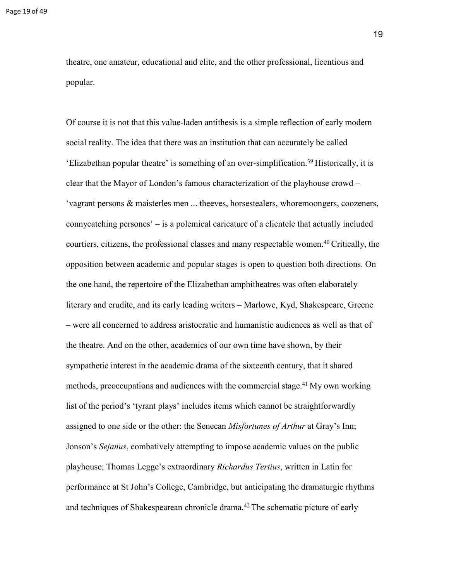theatre, one amateur, educational and elite, and the other professional, licentious and popular.

Of course it is not that this value-laden antithesis is a simple reflection of early modern social reality. The idea that there was an institution that can accurately be called 'Elizabethan popular theatre' is something of an over-simplification.<sup>39</sup>Historically, it is clear that the Mayor of London's famous characterization of the playhouse crowd – 'vagrant persons & maisterles men ... theeves, horsestealers, whoremoongers, coozeners, connycatching persones' – is a polemical caricature of a clientele that actually included courtiers, citizens, the professional classes and many respectable women.<sup>40</sup>Critically, the opposition between academic and popular stages is open to question both directions. On the one hand, the repertoire of the Elizabethan amphitheatres was often elaborately literary and erudite, and its early leading writers – Marlowe, Kyd, Shakespeare, Greene – were all concerned to address aristocratic and humanistic audiences as well as that of the theatre. And on the other, academics of our own time have shown, by their sympathetic interest in the academic drama of the sixteenth century, that it shared methods, preoccupations and audiences with the commercial stage.<sup>41</sup>My own working list of the period's 'tyrant plays' includes items which cannot be straightforwardly assigned to one side or the other: the Senecan *Misfortunes of Arthur* at Gray's Inn; Jonson's *Sejanus*, combatively attempting to impose academic values on the public playhouse; Thomas Legge's extraordinary *Richardus Tertius*, written in Latin for performance at St John's College, Cambridge, but anticipating the dramaturgic rhythms and techniques of Shakespearean chronicle drama.<sup>42</sup> The schematic picture of early

19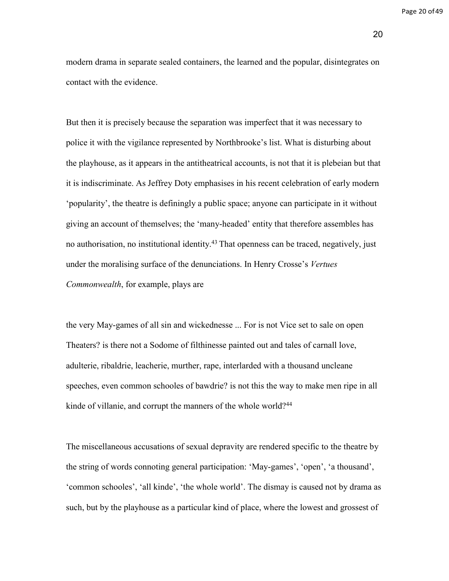Page 20 of 49

20

modern drama in separate sealed containers, the learned and the popular, disintegrates on contact with the evidence.

But then it is precisely because the separation was imperfect that it was necessary to police it with the vigilance represented by Northbrooke's list. What is disturbing about the playhouse, as it appears in the antitheatrical accounts, is not that it is plebeian but that it is indiscriminate. As Jeffrey Doty emphasises in his recent celebration of early modern 'popularity', the theatre is definingly a public space; anyone can participate in it without giving an account of themselves; the 'many-headed' entity that therefore assembles has no authorisation, no institutional identity.<sup>43</sup> That openness can be traced, negatively, just under the moralising surface of the denunciations. In Henry Crosse's *Vertues Commonwealth*, for example, plays are

the very May-games of all sin and wickednesse ... For is not Vice set to sale on open Theaters? is there not a Sodome of filthinesse painted out and tales of carnall love, adulterie, ribaldrie, leacherie, murther, rape, interlarded with a thousand uncleane speeches, even common schooles of bawdrie? is not this the way to make men ripe in all kinde of villanie, and corrupt the manners of the whole world?<sup>44</sup>

The miscellaneous accusations of sexual depravity are rendered specific to the theatre by the string of words connoting general participation: 'May-games', 'open', 'a thousand', 'common schooles', 'all kinde', 'the whole world'. The dismay is caused not by drama as such, but by the playhouse as a particular kind of place, where the lowest and grossest of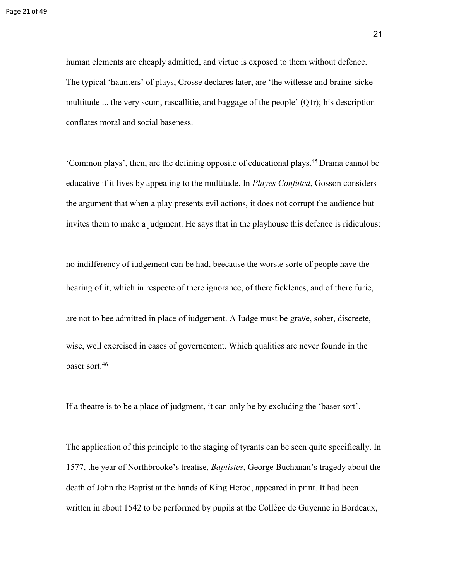human elements are cheaply admitted, and virtue is exposed to them without defence. The typical 'haunters' of plays, Crosse declares later, are 'the witlesse and braine-sicke multitude ... the very scum, rascallitie, and baggage of the people'  $(Q1r)$ ; his description conflates moral and social baseness.

'Common plays', then, are the defining opposite of educational plays.<sup>45</sup>Drama cannot be educative if it lives by appealing to the multitude. In *Playes Confuted*, Gosson considers the argument that when a play presents evil actions, it does not corrupt the audience but invites them to make a judgment. He says that in the playhouse this defence is ridiculous:

no indifferency of iudgement can be had, beecause the worste sorte of people have the hearing of it, which in respecte of there ignorance, of there ficklenes, and of there furie,

are not to bee admitted in place of iudgement. A Iudge must be grave, sober, discreete, wise, well exercised in cases of governement. Which qualities are never founde in the baser sort.<sup>46</sup>

If a theatre is to be a place of judgment, it can only be by excluding the 'baser sort'.

The application of this principle to the staging of tyrants can be seen quite specifically. In 1577, the year of Northbrooke's treatise, *Baptistes*, George Buchanan's tragedy about the death of John the Baptist at the hands of King Herod, appeared in print. It had been written in about 1542 to be performed by pupils at the Collège de Guyenne in Bordeaux,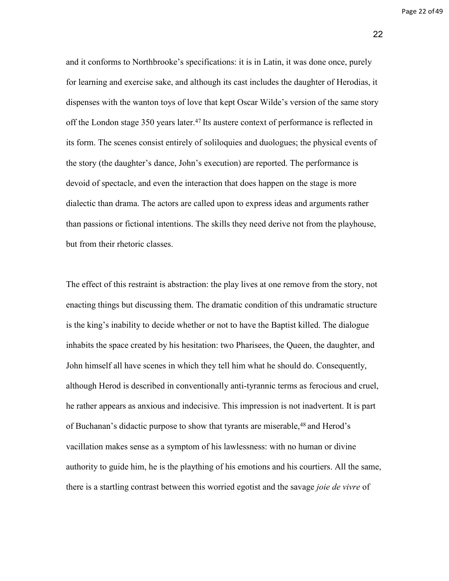Page 22 of 49

22

and it conforms to Northbrooke's specifications: it is in Latin, it was done once, purely for learning and exercise sake, and although its cast includes the daughter of Herodias, it dispenses with the wanton toys of love that kept Oscar Wilde's version of the same story off the London stage 350 years later.<sup>47</sup> Its austere context of performance is reflected in its form. The scenes consist entirely of soliloquies and duologues; the physical events of the story (the daughter's dance, John's execution) are reported. The performance is devoid of spectacle, and even the interaction that does happen on the stage is more dialectic than drama. The actors are called upon to express ideas and arguments rather than passions or fictional intentions. The skills they need derive not from the playhouse, but from their rhetoric classes.

The effect of this restraint is abstraction: the play lives at one remove from the story, not enacting things but discussing them. The dramatic condition of this undramatic structure is the king's inability to decide whether or not to have the Baptist killed. The dialogue inhabits the space created by his hesitation: two Pharisees, the Queen, the daughter, and John himself all have scenes in which they tell him what he should do. Consequently, although Herod is described in conventionally anti-tyrannic terms as ferocious and cruel, he rather appears as anxious and indecisive. This impression is not inadvertent. It is part of Buchanan's didactic purpose to show that tyrants are miserable,<sup>48</sup> and Herod's vacillation makes sense as a symptom of his lawlessness: with no human or divine authority to guide him, he is the plaything of his emotions and his courtiers. All the same, there is a startling contrast between this worried egotist and the savage *joie de vivre* of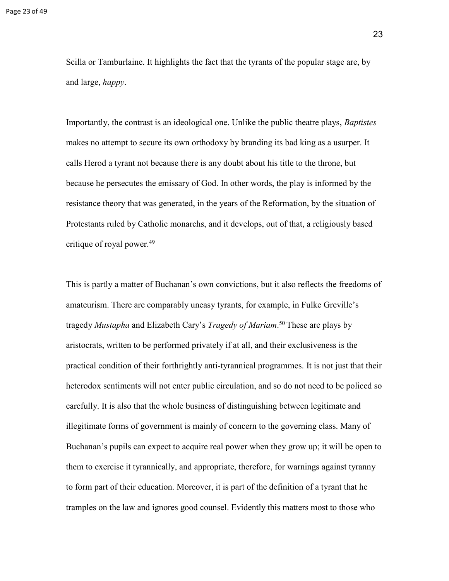Scilla or Tamburlaine. It highlights the fact that the tyrants of the popular stage are, by and large, *happy*.

Importantly, the contrast is an ideological one. Unlike the public theatre plays, *Baptistes*  makes no attempt to secure its own orthodoxy by branding its bad king as a usurper. It calls Herod a tyrant not because there is any doubt about his title to the throne, but because he persecutes the emissary of God. In other words, the play is informed by the resistance theory that was generated, in the years of the Reformation, by the situation of Protestants ruled by Catholic monarchs, and it develops, out of that, a religiously based critique of royal power.<sup>49</sup>

This is partly a matter of Buchanan's own convictions, but it also reflects the freedoms of amateurism. There are comparably uneasy tyrants, for example, in Fulke Greville's tragedy *Mustapha* and Elizabeth Cary's *Tragedy of Mariam*.<sup>50</sup> These are plays by aristocrats, written to be performed privately if at all, and their exclusiveness is the practical condition of their forthrightly anti-tyrannical programmes. It is not just that their heterodox sentiments will not enter public circulation, and so do not need to be policed so carefully. It is also that the whole business of distinguishing between legitimate and illegitimate forms of government is mainly of concern to the governing class. Many of Buchanan's pupils can expect to acquire real power when they grow up; it will be open to them to exercise it tyrannically, and appropriate, therefore, for warnings against tyranny to form part of their education. Moreover, it is part of the definition of a tyrant that he tramples on the law and ignores good counsel. Evidently this matters most to those who

23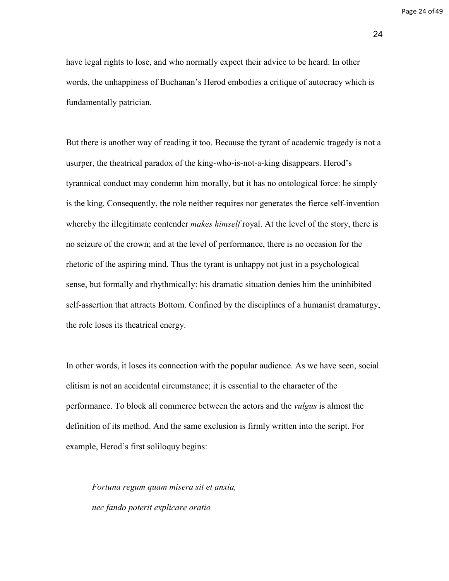Page 24 of 49

24

have legal rights to lose, and who normally expect their advice to be heard. In other words, the unhappiness of Buchanan's Herod embodies a critique of autocracy which is fundamentally patrician.

But there is another way of reading it too. Because the tyrant of academic tragedy is not a usurper, the theatrical paradox of the king-who-is-not-a-king disappears. Herod's tyrannical conduct may condemn him morally, but it has no ontological force: he simply is the king. Consequently, the role neither requires nor generates the fierce self-invention whereby the illegitimate contender *makes himself* royal. At the level of the story, there is no seizure of the crown; and at the level of performance, there is no occasion for the rhetoric of the aspiring mind. Thus the tyrant is unhappy not just in a psychological sense, but formally and rhythmically: his dramatic situation denies him the uninhibited self-assertion that attracts Bottom. Confined by the disciplines of a humanist dramaturgy, the role loses its theatrical energy.

In other words, it loses its connection with the popular audience. As we have seen, social elitism is not an accidental circumstance; it is essential to the character of the performance. To block all commerce between the actors and the *vulgus* is almost the definition of its method. And the same exclusion is firmly written into the script. For example, Herod's first soliloquy begins:

*Fortuna regum quam misera sit et anxia, nec fando poterit explicare oratio*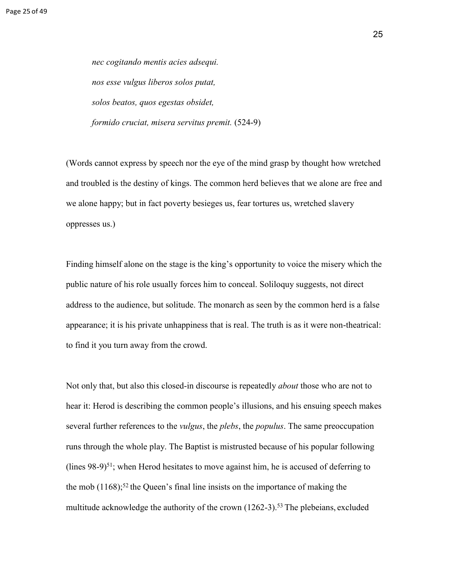*nec cogitando mentis acies adsequi. nos esse vulgus liberos solos putat, solos beatos, quos egestas obsidet, formido cruciat, misera servitus premit.* (524-9)

(Words cannot express by speech nor the eye of the mind grasp by thought how wretched and troubled is the destiny of kings. The common herd believes that we alone are free and we alone happy; but in fact poverty besieges us, fear tortures us, wretched slavery oppresses us.)

Finding himself alone on the stage is the king's opportunity to voice the misery which the public nature of his role usually forces him to conceal. Soliloquy suggests, not direct address to the audience, but solitude. The monarch as seen by the common herd is a false appearance; it is his private unhappiness that is real. The truth is as it were non-theatrical: to find it you turn away from the crowd.

Not only that, but also this closed-in discourse is repeatedly *about* those who are not to hear it: Herod is describing the common people's illusions, and his ensuing speech makes several further references to the *vulgus*, the *plebs*, the *populus*. The same preoccupation runs through the whole play. The Baptist is mistrusted because of his popular following (lines  $98-9$ <sup>51</sup>; when Herod hesitates to move against him, he is accused of deferring to the mob  $(1168)$ ;<sup>52</sup> the Queen's final line insists on the importance of making the multitude acknowledge the authority of the crown  $(1262-3)$ .<sup>53</sup> The plebeians, excluded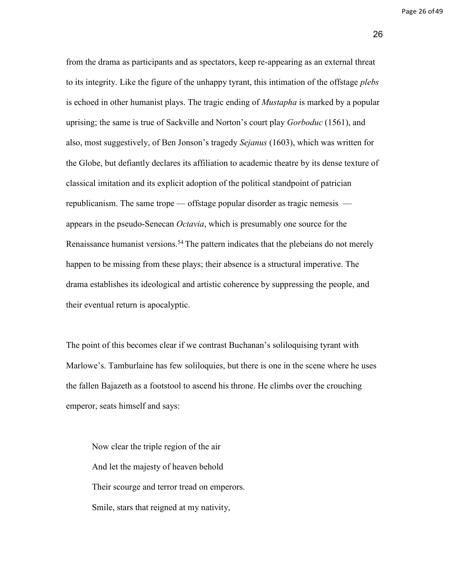Page 26 of49

26

from the drama as participants and as spectators, keep re-appearing as an external threat to its integrity. Like the figure of the unhappy tyrant, this intimation of the offstage *plebs*  is echoed in other humanist plays. The tragic ending of *Mustapha* is marked by a popular uprising; the same is true of Sackville and Norton's court play *Gorboduc* (1561), and also, most suggestively, of Ben Jonson's tragedy *Sejanus* (1603), which was written for the Globe, but defiantly declares its affiliation to academic theatre by its dense texture of classical imitation and its explicit adoption of the political standpoint of patrician republicanism. The same trope — offstage popular disorder as tragic nemesis appears in the pseudo-Senecan *Octavia*, which is presumably one source for the Renaissance humanist versions.<sup>54</sup> The pattern indicates that the plebeians do not merely happen to be missing from these plays; their absence is a structural imperative. The drama establishes its ideological and artistic coherence by suppressing the people, and their eventual return is apocalyptic.

The point of this becomes clear if we contrast Buchanan's soliloquising tyrant with Marlowe's. Tamburlaine has few soliloquies, but there is one in the scene where he uses the fallen Bajazeth as a footstool to ascend his throne. He climbs over the crouching emperor, seats himself and says:

Now clear the triple region of the air And let the majesty of heaven behold Their scourge and terror tread on emperors. Smile, stars that reigned at my nativity,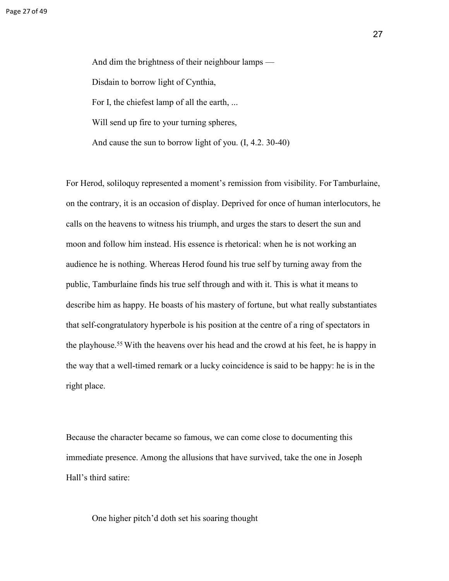And dim the brightness of their neighbour lamps — Disdain to borrow light of Cynthia, For I, the chiefest lamp of all the earth, ... Will send up fire to your turning spheres, And cause the sun to borrow light of you. (I, 4.2. 30-40)

For Herod, soliloquy represented a moment's remission from visibility. For Tamburlaine, on the contrary, it is an occasion of display. Deprived for once of human interlocutors, he calls on the heavens to witness his triumph, and urges the stars to desert the sun and moon and follow him instead. His essence is rhetorical: when he is not working an audience he is nothing. Whereas Herod found his true self by turning away from the public, Tamburlaine finds his true self through and with it. This is what it means to describe him as happy. He boasts of his mastery of fortune, but what really substantiates that self-congratulatory hyperbole is his position at the centre of a ring of spectators in the playhouse.<sup>55</sup> With the heavens over his head and the crowd at his feet, he is happy in the way that a well-timed remark or a lucky coincidence is said to be happy: he is in the right place.

Because the character became so famous, we can come close to documenting this immediate presence. Among the allusions that have survived, take the one in Joseph Hall's third satire:

One higher pitch'd doth set his soaring thought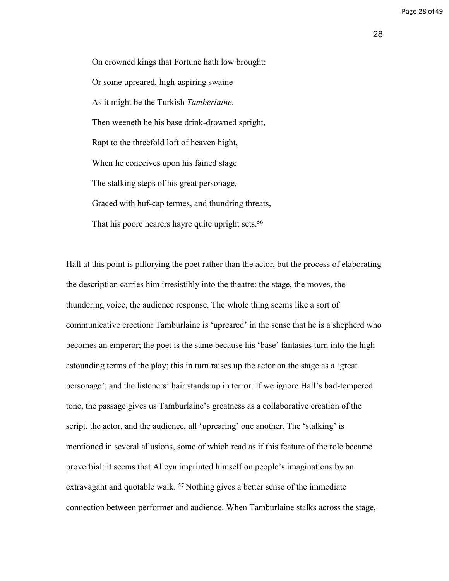28

On crowned kings that Fortune hath low brought: Or some upreared, high-aspiring swaine As it might be the Turkish *Tamberlaine*. Then weeneth he his base drink-drowned spright, Rapt to the threefold loft of heaven hight, When he conceives upon his fained stage The stalking steps of his great personage, Graced with huf-cap termes, and thundring threats, That his poore hearers hayre quite upright sets.<sup>56</sup>

Hall at this point is pillorying the poet rather than the actor, but the process of elaborating the description carries him irresistibly into the theatre: the stage, the moves, the thundering voice, the audience response. The whole thing seems like a sort of communicative erection: Tamburlaine is 'upreared' in the sense that he is a shepherd who becomes an emperor; the poet is the same because his 'base' fantasies turn into the high astounding terms of the play; this in turn raises up the actor on the stage as a 'great personage'; and the listeners' hair stands up in terror. If we ignore Hall's bad-tempered tone, the passage gives us Tamburlaine's greatness as a collaborative creation of the script, the actor, and the audience, all 'uprearing' one another. The 'stalking' is mentioned in several allusions, some of which read as if this feature of the role became proverbial: it seems that Alleyn imprinted himself on people's imaginations by an extravagant and quotable walk.  $57$  Nothing gives a better sense of the immediate connection between performer and audience. When Tamburlaine stalks across the stage,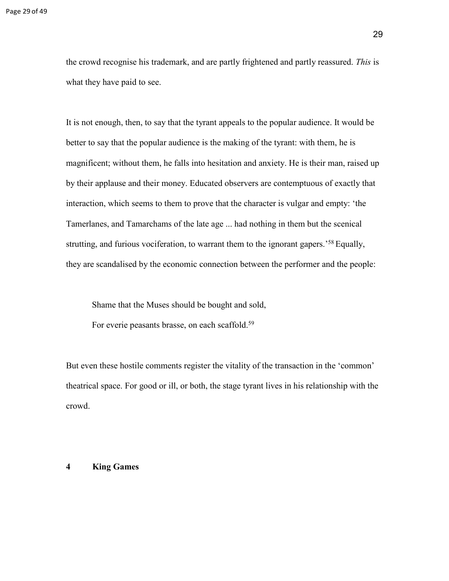the crowd recognise his trademark, and are partly frightened and partly reassured. *This* is what they have paid to see.

It is not enough, then, to say that the tyrant appeals to the popular audience. It would be better to say that the popular audience is the making of the tyrant: with them, he is magnificent; without them, he falls into hesitation and anxiety. He is their man, raised up by their applause and their money. Educated observers are contemptuous of exactly that interaction, which seems to them to prove that the character is vulgar and empty: 'the Tamerlanes, and Tamarchams of the late age ... had nothing in them but the scenical strutting, and furious vociferation, to warrant them to the ignorant gapers.<sup>'58</sup> Equally, they are scandalised by the economic connection between the performer and the people:

Shame that the Muses should be bought and sold,

For everie peasants brasse, on each scaffold.<sup>59</sup>

But even these hostile comments register the vitality of the transaction in the 'common' theatrical space. For good or ill, or both, the stage tyrant lives in his relationship with the crowd.

#### **4 King Games**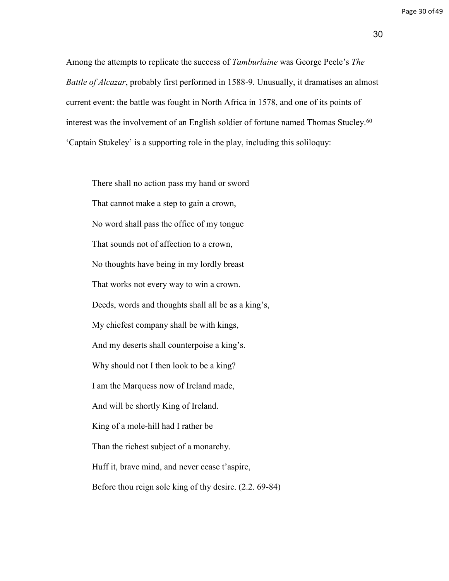Among the attempts to replicate the success of *Tamburlaine* was George Peele's *The Battle of Alcazar*, probably first performed in 1588-9. Unusually, it dramatises an almost current event: the battle was fought in North Africa in 1578, and one of its points of interest was the involvement of an English soldier of fortune named Thomas Stucley.<sup>60</sup> 'Captain Stukeley' is a supporting role in the play, including this soliloquy:

There shall no action pass my hand or sword That cannot make a step to gain a crown, No word shall pass the office of my tongue That sounds not of affection to a crown, No thoughts have being in my lordly breast That works not every way to win a crown. Deeds, words and thoughts shall all be as a king's, My chiefest company shall be with kings, And my deserts shall counterpoise a king's. Why should not I then look to be a king? I am the Marquess now of Ireland made, And will be shortly King of Ireland. King of a mole-hill had I rather be Than the richest subject of a monarchy. Huff it, brave mind, and never cease t'aspire, Before thou reign sole king of thy desire. (2.2. 69-84)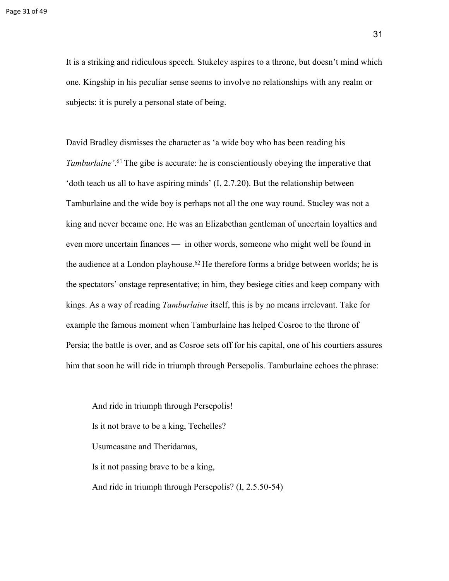It is a striking and ridiculous speech. Stukeley aspires to a throne, but doesn't mind which one. Kingship in his peculiar sense seems to involve no relationships with any realm or subjects: it is purely a personal state of being.

David Bradley dismisses the character as 'a wide boy who has been reading his Tamburlaine'.<sup>61</sup> The gibe is accurate: he is conscientiously obeying the imperative that 'doth teach us all to have aspiring minds' (I, 2.7.20). But the relationship between Tamburlaine and the wide boy is perhaps not all the one way round. Stucley was not a king and never became one. He was an Elizabethan gentleman of uncertain loyalties and even more uncertain finances — in other words, someone who might well be found in the audience at a London playhouse.<sup>62</sup> He therefore forms a bridge between worlds; he is the spectators' onstage representative; in him, they besiege cities and keep company with kings. As a way of reading *Tamburlaine* itself, this is by no means irrelevant. Take for example the famous moment when Tamburlaine has helped Cosroe to the throne of Persia; the battle is over, and as Cosroe sets off for his capital, one of his courtiers assures him that soon he will ride in triumph through Persepolis. Tamburlaine echoes the phrase:

And ride in triumph through Persepolis! Is it not brave to be a king, Techelles? Usumcasane and Theridamas, Is it not passing brave to be a king, And ride in triumph through Persepolis? (I, 2.5.50-54)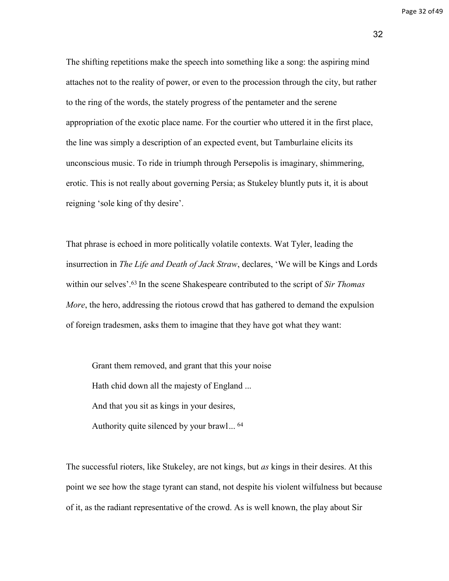Page 32 of 49

32

The shifting repetitions make the speech into something like a song: the aspiring mind attaches not to the reality of power, or even to the procession through the city, but rather to the ring of the words, the stately progress of the pentameter and the serene appropriation of the exotic place name. For the courtier who uttered it in the first place, the line was simply a description of an expected event, but Tamburlaine elicits its unconscious music. To ride in triumph through Persepolis is imaginary, shimmering, erotic. This is not really about governing Persia; as Stukeley bluntly puts it, it is about reigning 'sole king of thy desire'.

That phrase is echoed in more politically volatile contexts. Wat Tyler, leading the insurrection in *The Life and Death of Jack Straw*, declares, 'We will be Kings and Lords within our selves'.<sup>63</sup> In the scene Shakespeare contributed to the script of *Sir Thomas More*, the hero, addressing the riotous crowd that has gathered to demand the expulsion of foreign tradesmen, asks them to imagine that they have got what they want:

Grant them removed, and grant that this your noise Hath chid down all the majesty of England ... And that you sit as kings in your desires, Authority quite silenced by your brawl... 64

The successful rioters, like Stukeley, are not kings, but *as* kings in their desires. At this point we see how the stage tyrant can stand, not despite his violent wilfulness but because of it, as the radiant representative of the crowd. As is well known, the play about Sir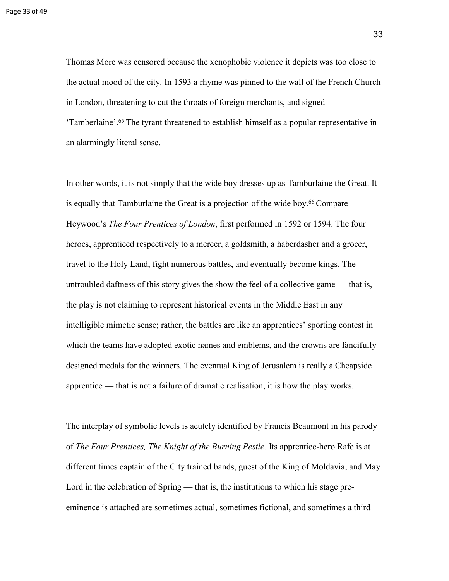Thomas More was censored because the xenophobic violence it depicts was too close to the actual mood of the city. In 1593 a rhyme was pinned to the wall of the French Church in London, threatening to cut the throats of foreign merchants, and signed 'Tamberlaine'.<sup>65</sup>The tyrant threatened to establish himself as a popular representative in an alarmingly literal sense.

In other words, it is not simply that the wide boy dresses up as Tamburlaine the Great. It is equally that Tamburlaine the Great is a projection of the wide boy.<sup>66</sup> Compare Heywood's *The Four Prentices of London*, first performed in 1592 or 1594. The four heroes, apprenticed respectively to a mercer, a goldsmith, a haberdasher and a grocer, travel to the Holy Land, fight numerous battles, and eventually become kings. The untroubled daftness of this story gives the show the feel of a collective game — that is, the play is not claiming to represent historical events in the Middle East in any intelligible mimetic sense; rather, the battles are like an apprentices' sporting contest in which the teams have adopted exotic names and emblems, and the crowns are fancifully designed medals for the winners. The eventual King of Jerusalem is really a Cheapside apprentice — that is not a failure of dramatic realisation, it is how the play works.

The interplay of symbolic levels is acutely identified by Francis Beaumont in his parody of *The Four Prentices, The Knight of the Burning Pestle.* Its apprentice-hero Rafe is at different times captain of the City trained bands, guest of the King of Moldavia, and May Lord in the celebration of Spring — that is, the institutions to which his stage preeminence is attached are sometimes actual, sometimes fictional, and sometimes a third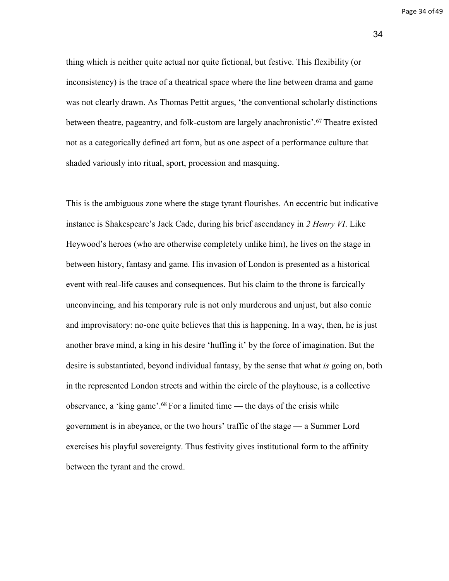Page 34 of 49

34

thing which is neither quite actual nor quite fictional, but festive. This flexibility (or inconsistency) is the trace of a theatrical space where the line between drama and game was not clearly drawn. As Thomas Pettit argues, 'the conventional scholarly distinctions between theatre, pageantry, and folk-custom are largely anachronistic'.<sup>67</sup>Theatre existed not as a categorically defined art form, but as one aspect of a performance culture that shaded variously into ritual, sport, procession and masquing.

This is the ambiguous zone where the stage tyrant flourishes. An eccentric but indicative instance is Shakespeare's Jack Cade, during his brief ascendancy in *2 Henry VI*. Like Heywood's heroes (who are otherwise completely unlike him), he lives on the stage in between history, fantasy and game. His invasion of London is presented as a historical event with real-life causes and consequences. But his claim to the throne is farcically unconvincing, and his temporary rule is not only murderous and unjust, but also comic and improvisatory: no-one quite believes that this is happening. In a way, then, he is just another brave mind, a king in his desire 'huffing it' by the force of imagination. But the desire is substantiated, beyond individual fantasy, by the sense that what *is* going on, both in the represented London streets and within the circle of the playhouse, is a collective observance, a 'king game'.<sup>68</sup> For a limited time — the days of the crisis while government is in abeyance, or the two hours' traffic of the stage — a Summer Lord exercises his playful sovereignty. Thus festivity gives institutional form to the affinity between the tyrant and the crowd.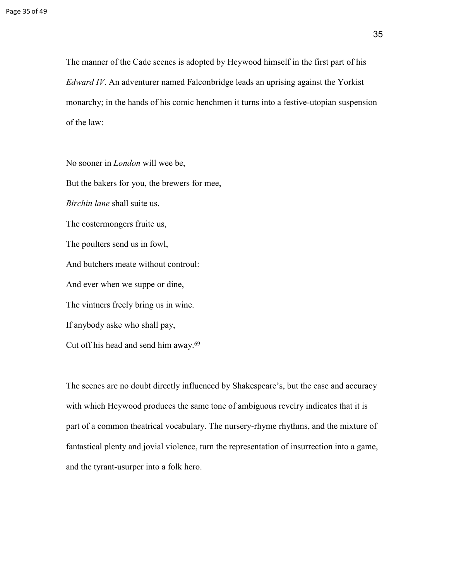The manner of the Cade scenes is adopted by Heywood himself in the first part of his *Edward IV*. An adventurer named Falconbridge leads an uprising against the Yorkist monarchy; in the hands of his comic henchmen it turns into a festive-utopian suspension of the law:

No sooner in *London* will wee be, But the bakers for you, the brewers for mee, *Birchin lane* shall suite us. The costermongers fruite us, The poulters send us in fowl, And butchers meate without controul: And ever when we suppe or dine, The vintners freely bring us in wine. If anybody aske who shall pay, Cut off his head and send him away.<sup>69</sup>

The scenes are no doubt directly influenced by Shakespeare's, but the ease and accuracy with which Heywood produces the same tone of ambiguous revelry indicates that it is part of a common theatrical vocabulary. The nursery-rhyme rhythms, and the mixture of fantastical plenty and jovial violence, turn the representation of insurrection into a game, and the tyrant-usurper into a folk hero.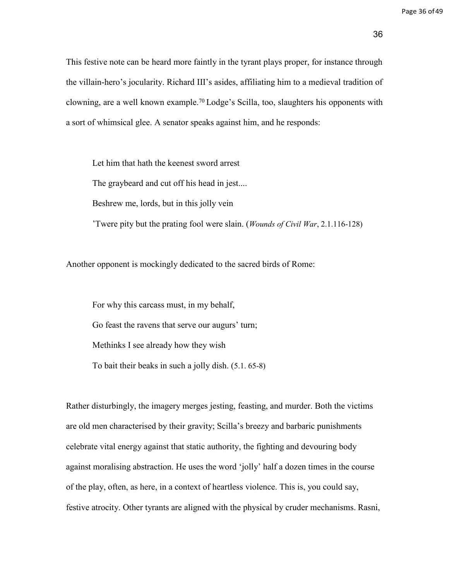This festive note can be heard more faintly in the tyrant plays proper, for instance through the villain-hero's jocularity. Richard III's asides, affiliating him to a medieval tradition of clowning, are a well known example.<sup>70</sup> Lodge's Scilla, too, slaughters his opponents with a sort of whimsical glee. A senator speaks against him, and he responds:

Let him that hath the keenest sword arrest The graybeard and cut off his head in jest.... Beshrew me, lords, but in this jolly vein

'Twere pity but the prating fool were slain. (*Wounds of Civil War*, 2.1.116-128)

Another opponent is mockingly dedicated to the sacred birds of Rome:

For why this carcass must, in my behalf, Go feast the ravens that serve our augurs' turn; Methinks I see already how they wish To bait their beaks in such a jolly dish. (5.1. 65-8)

Rather disturbingly, the imagery merges jesting, feasting, and murder. Both the victims are old men characterised by their gravity; Scilla's breezy and barbaric punishments celebrate vital energy against that static authority, the fighting and devouring body against moralising abstraction. He uses the word 'jolly' half a dozen times in the course of the play, often, as here, in a context of heartless violence. This is, you could say, festive atrocity. Other tyrants are aligned with the physical by cruder mechanisms. Rasni,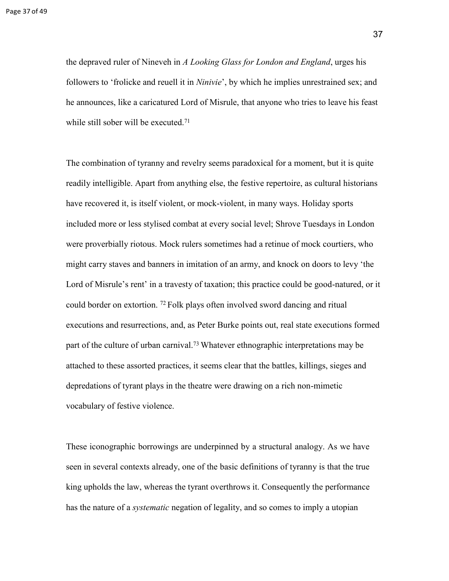the depraved ruler of Nineveh in *A Looking Glass for London and England*, urges his followers to 'frolicke and reuell it in *Ninivie*', by which he implies unrestrained sex; and he announces, like a caricatured Lord of Misrule, that anyone who tries to leave his feast while still sober will be executed.<sup>71</sup>

The combination of tyranny and revelry seems paradoxical for a moment, but it is quite readily intelligible. Apart from anything else, the festive repertoire, as cultural historians have recovered it, is itself violent, or mock-violent, in many ways. Holiday sports included more or less stylised combat at every social level; Shrove Tuesdays in London were proverbially riotous. Mock rulers sometimes had a retinue of mock courtiers, who might carry staves and banners in imitation of an army, and knock on doors to levy 'the Lord of Misrule's rent' in a travesty of taxation; this practice could be good-natured, or it could border on extortion. <sup>72</sup>Folk plays often involved sword dancing and ritual executions and resurrections, and, as Peter Burke points out, real state executions formed part of the culture of urban carnival.<sup>73</sup> Whatever ethnographic interpretations may be attached to these assorted practices, it seems clear that the battles, killings, sieges and depredations of tyrant plays in the theatre were drawing on a rich non-mimetic vocabulary of festive violence.

These iconographic borrowings are underpinned by a structural analogy. As we have seen in several contexts already, one of the basic definitions of tyranny is that the true king upholds the law, whereas the tyrant overthrows it. Consequently the performance has the nature of a *systematic* negation of legality, and so comes to imply a utopian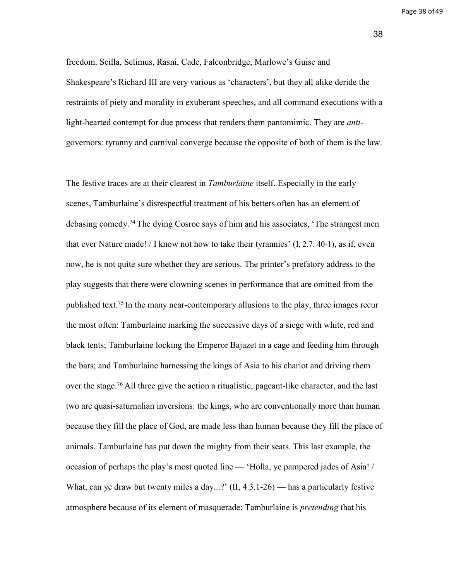Page 38 of 49

38

freedom. Scilla, Selimus, Rasni, Cade, Falconbridge, Marlowe's Guise and Shakespeare's Richard III are very various as 'characters', but they all alike deride the restraints of piety and morality in exuberant speeches, and all command executions with a light-hearted contempt for due process that renders them pantomimic. They are *anti*governors: tyranny and carnival converge because the opposite of both of them is the law.

The festive traces are at their clearest in *Tamburlaine* itself. Especially in the early scenes, Tamburlaine's disrespectful treatment of his betters often has an element of debasing comedy.<sup>74</sup>The dying Cosroe says of him and his associates, 'The strangest men that ever Nature made! / I know not how to take their tyrannies'  $(I, 2.7, 40-1)$ , as if, even now, he is not quite sure whether they are serious. The printer's prefatory address to the play suggests that there were clowning scenes in performance that are omitted from the published text.<sup>75</sup> In the many near-contemporary allusions to the play, three images recur the most often: Tamburlaine marking the successive days of a siege with white, red and black tents; Tamburlaine locking the Emperor Bajazet in a cage and feeding him through the bars; and Tamburlaine harnessing the kings of Asia to his chariot and driving them over the stage.<sup>76</sup> All three give the action a ritualistic, pageant-like character, and the last two are quasi-saturnalian inversions: the kings, who are conventionally more than human because they fill the place of God, are made less than human because they fill the place of animals. Tamburlaine has put down the mighty from their seats. This last example, the occasion of perhaps the play's most quoted line — 'Holla, ye pampered jades of Asia! / What, can ye draw but twenty miles a day...?' (II, 4.3.1-26) — has a particularly festive atmosphere because of its element of masquerade: Tamburlaine is *pretending* that his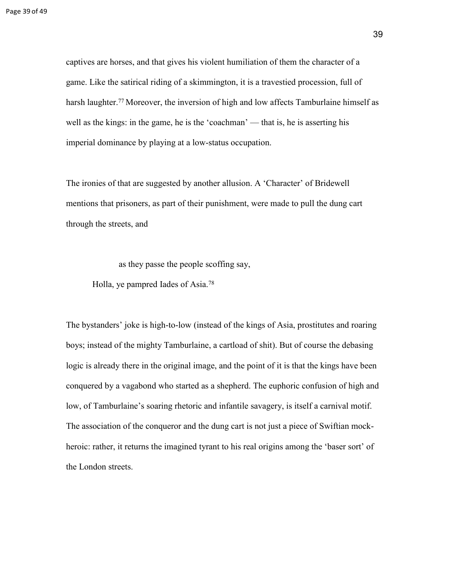captives are horses, and that gives his violent humiliation of them the character of a game. Like the satirical riding of a skimmington, it is a travestied procession, full of harsh laughter.<sup>77</sup> Moreover, the inversion of high and low affects Tamburlaine himself as well as the kings: in the game, he is the 'coachman' — that is, he is asserting his imperial dominance by playing at a low-status occupation.

The ironies of that are suggested by another allusion. A 'Character' of Bridewell mentions that prisoners, as part of their punishment, were made to pull the dung cart through the streets, and

as they passe the people scoffing say,

Holla, ye pampred Iades of Asia.<sup>78</sup>

The bystanders' joke is high-to-low (instead of the kings of Asia, prostitutes and roaring boys; instead of the mighty Tamburlaine, a cartload of shit). But of course the debasing logic is already there in the original image, and the point of it is that the kings have been conquered by a vagabond who started as a shepherd. The euphoric confusion of high and low, of Tamburlaine's soaring rhetoric and infantile savagery, is itself a carnival motif. The association of the conqueror and the dung cart is not just a piece of Swiftian mockheroic: rather, it returns the imagined tyrant to his real origins among the 'baser sort' of the London streets.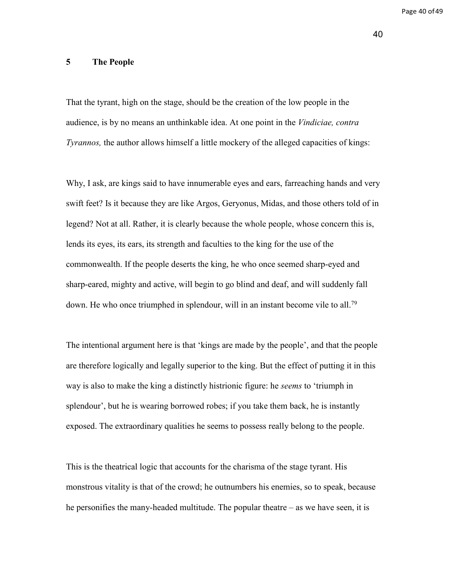Page 40 of 49

# **5 The People**

That the tyrant, high on the stage, should be the creation of the low people in the audience, is by no means an unthinkable idea. At one point in the *Vindiciae, contra Tyrannos,* the author allows himself a little mockery of the alleged capacities of kings:

Why, I ask, are kings said to have innumerable eyes and ears, farreaching hands and very swift feet? Is it because they are like Argos, Geryonus, Midas, and those others told of in legend? Not at all. Rather, it is clearly because the whole people, whose concern this is, lends its eyes, its ears, its strength and faculties to the king for the use of the commonwealth. If the people deserts the king, he who once seemed sharp-eyed and sharp-eared, mighty and active, will begin to go blind and deaf, and will suddenly fall down. He who once triumphed in splendour, will in an instant become vile to all.<sup>79</sup>

The intentional argument here is that 'kings are made by the people', and that the people are therefore logically and legally superior to the king. But the effect of putting it in this way is also to make the king a distinctly histrionic figure: he *seems* to 'triumph in splendour', but he is wearing borrowed robes; if you take them back, he is instantly exposed. The extraordinary qualities he seems to possess really belong to the people.

This is the theatrical logic that accounts for the charisma of the stage tyrant. His monstrous vitality is that of the crowd; he outnumbers his enemies, so to speak, because he personifies the many-headed multitude. The popular theatre – as we have seen, it is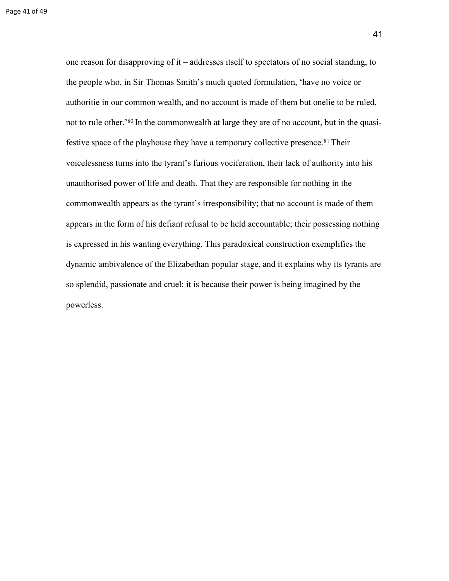one reason for disapproving of it – addresses itself to spectators of no social standing, to the people who, in Sir Thomas Smith's much quoted formulation, 'have no voice or authoritie in our common wealth, and no account is made of them but onelie to be ruled, not to rule other.<sup>80</sup> In the commonwealth at large they are of no account, but in the quasifestive space of the playhouse they have a temporary collective presence.<sup>81</sup> Their voicelessness turns into the tyrant's furious vociferation, their lack of authority into his unauthorised power of life and death. That they are responsible for nothing in the commonwealth appears as the tyrant's irresponsibility; that no account is made of them appears in the form of his defiant refusal to be held accountable; their possessing nothing is expressed in his wanting everything. This paradoxical construction exemplifies the dynamic ambivalence of the Elizabethan popular stage, and it explains why its tyrants are so splendid, passionate and cruel: it is because their power is being imagined by the powerless.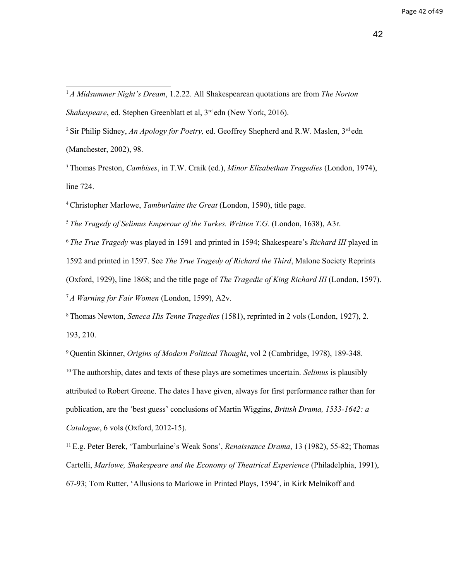<sup>1</sup>*A Midsummer Night's Dream*, 1.2.22. All Shakespearean quotations are from *The Norton Shakespeare*, ed. Stephen Greenblatt et al, 3<sup>rd</sup> edn (New York, 2016).

<sup>2</sup> Sir Philip Sidney, *An Apology for Poetry*, ed. Geoffrey Shepherd and R.W. Maslen, 3<sup>rd</sup> edn (Manchester, 2002), 98.

<sup>3</sup>Thomas Preston, *Cambises*, in T.W. Craik (ed.), *Minor Elizabethan Tragedies* (London, 1974), line 724.

<sup>4</sup>Christopher Marlowe, *Tamburlaine the Great* (London, 1590), title page.

<sup>5</sup>*The Tragedy of Selimus Emperour of the Turkes. Written T.G.* (London, 1638), A3r.

<sup>6</sup>*The True Tragedy* was played in 1591 and printed in 1594; Shakespeare's *Richard III* played in

1592 and printed in 1597. See *The True Tragedy of Richard the Third*, Malone Society Reprints

(Oxford, 1929), line 1868; and the title page of *The Tragedie of King Richard III* (London, 1597).

<sup>7</sup>*A Warning for Fair Women* (London, 1599), A2v.

<sup>8</sup>Thomas Newton, *Seneca His Tenne Tragedies* (1581), reprinted in 2 vols (London, 1927), 2. 193, 210.

<sup>9</sup>Quentin Skinner, *Origins of Modern Political Thought*, vol 2 (Cambridge, 1978), 189-348. <sup>10</sup>The authorship, dates and texts of these plays are sometimes uncertain. *Selimus* is plausibly attributed to Robert Greene. The dates I have given, always for first performance rather than for publication, are the 'best guess' conclusions of Martin Wiggins, *British Drama, 1533-1642: a Catalogue*, 6 vols (Oxford, 2012-15).

<sup>11</sup>E.g. Peter Berek, 'Tamburlaine's Weak Sons', *Renaissance Drama*, 13 (1982), 55-82; Thomas Cartelli, *Marlowe, Shakespeare and the Economy of Theatrical Experience* (Philadelphia, 1991), 67-93; Tom Rutter, 'Allusions to Marlowe in Printed Plays, 1594', in Kirk Melnikoff and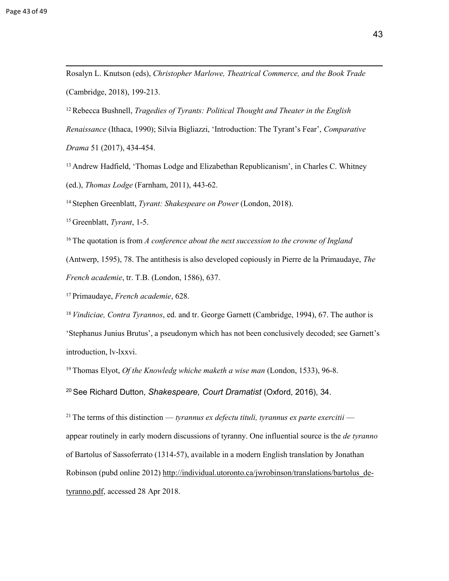<sup>12</sup>Rebecca Bushnell, *Tragedies of Tyrants: Political Thought and Theater in the English Renaissance* (Ithaca, 1990); Silvia Bigliazzi, 'Introduction: The Tyrant's Fear', *Comparative Drama* 51 (2017), 434-454.

<sup>13</sup> Andrew Hadfield, 'Thomas Lodge and Elizabethan Republicanism', in Charles C. Whitney (ed.), *Thomas Lodge* (Farnham, 2011), 443-62.

<sup>14</sup>Stephen Greenblatt, *Tyrant: Shakespeare on Power* (London, 2018).

<sup>15</sup>Greenblatt, *Tyrant*, 1-5.

<sup>16</sup> The quotation is from *A conference about the next succession to the crowne of Ingland* 

(Antwerp, 1595), 78. The antithesis is also developed copiously in Pierre de la Primaudaye, *The* 

*French academie*, tr. T.B. (London, 1586), 637.

<sup>17</sup>Primaudaye, *French academie*, 628.

<sup>18</sup>*Vindiciae, Contra Tyrannos*, ed. and tr. George Garnett (Cambridge, 1994), 67. The author is 'Stephanus Junius Brutus', a pseudonym which has not been conclusively decoded; see Garnett's introduction, lv-lxxvi.

<sup>19</sup>Thomas Elyot, *Of the Knowledg whiche maketh a wise man* (London, 1533), 96-8.

<sup>20</sup>See Richard Dutton, *Shakespeare, Court Dramatist* (Oxford, 2016), 34.

<sup>21</sup> The terms of this distinction — *tyrannus ex defectu tituli, tyrannus ex parte exercitii* appear routinely in early modern discussions of tyranny. One influential source is the *de tyranno*  of Bartolus of Sassoferrato (1314-57), available in a modern English translation by Jonathan Robinson (pubd online 2012) [http://individual.utoronto.ca/jwrobinson/translations/bartolus\\_de](http://individual.utoronto.ca/jwrobinson/translations/bartolus_de-tyranno.pdf)[tyranno.pdf,](http://individual.utoronto.ca/jwrobinson/translations/bartolus_de-tyranno.pdf) accessed 28 Apr 2018.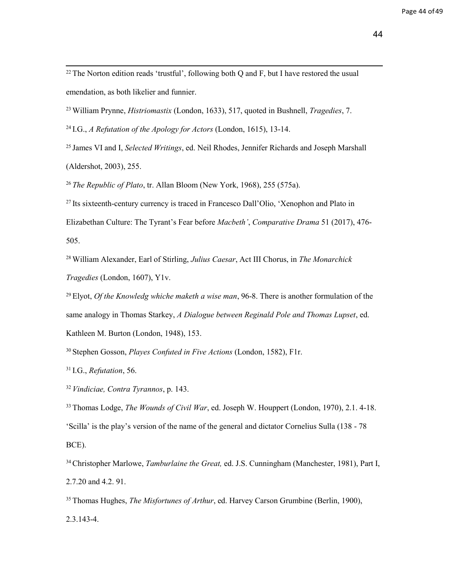$^{22}$  The Norton edition reads 'trustful', following both Q and F, but I have restored the usual emendation, as both likelier and funnier.

<sup>23</sup>William Prynne, *Histriomastix* (London, 1633), 517, quoted in Bushnell, *Tragedies*, 7.

<sup>24</sup>I.G., *A Refutation of the Apology for Actors* (London, 1615), 13-14.

<sup>25</sup>James VI and I, *Selected Writings*, ed. Neil Rhodes, Jennifer Richards and Joseph Marshall (Aldershot, 2003), 255.

<sup>26</sup>*The Republic of Plato*, tr. Allan Bloom (New York, 1968), 255 (575a).

 $^{27}$  Its sixteenth-century currency is traced in Francesco Dall'Olio, 'Xenophon and Plato in

Elizabethan Culture: The Tyrant's Fear before *Macbeth'*, *Comparative Drama* 51 (2017), 476- 505.

<sup>28</sup>William Alexander, Earl of Stirling, *Julius Caesar*, Act III Chorus, in *The Monarchick Tragedies* (London, 1607), Y1v.

<sup>29</sup>Elyot, *Of the Knowledg whiche maketh a wise man*, 96-8. There is another formulation of the same analogy in Thomas Starkey, *A Dialogue between Reginald Pole and Thomas Lupset*, ed. Kathleen M. Burton (London, 1948), 153.

<sup>30</sup>Stephen Gosson, *Playes Confuted in Five Actions* (London, 1582), F1r.

<sup>31</sup>I.G., *Refutation*, 56.

<sup>32</sup>*Vindiciae, Contra Tyrannos*, p. 143.

<sup>33</sup>Thomas Lodge, *The Wounds of Civil War*, ed. Joseph W. Houppert (London, 1970), 2.1. 4-18. 'Scilla' is the play's version of the name of the general and dictator Cornelius Sulla (138 - 78 BCE).

<sup>34</sup>Christopher Marlowe, *Tamburlaine the Great,* ed. J.S. Cunningham (Manchester, 1981), Part I, 2.7.20 and 4.2. 91.

<sup>35</sup>Thomas Hughes, *The Misfortunes of Arthur*, ed. Harvey Carson Grumbine (Berlin, 1900), 2.3.143-4.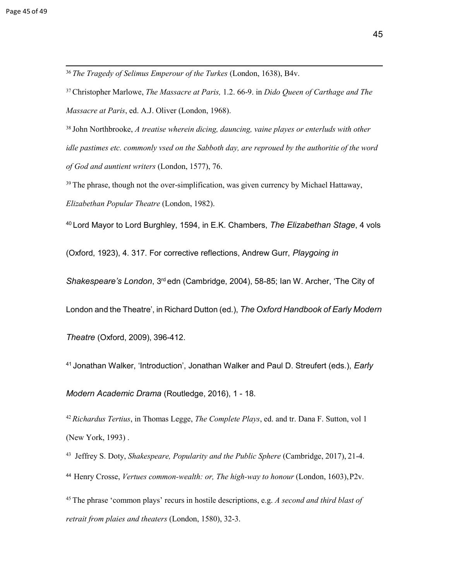<sup>36</sup>*The Tragedy of Selimus Emperour of the Turkes* (London, 1638), B4v.

<sup>37</sup>Christopher Marlowe, *The Massacre at Paris,* 1.2. 66-9. in *Dido Queen of Carthage and The Massacre at Paris*, ed. A.J. Oliver (London, 1968).

<sup>38</sup> John Northbrooke, *A treatise wherein dicing, dauncing, vaine playes or enterluds with other idle pastimes etc. commonly vsed on the Sabboth day, are reproued by the authoritie of the word of God and auntient writers* (London, 1577), 76.

 $39$  The phrase, though not the over-simplification, was given currency by Michael Hattaway, *Elizabethan Popular Theatre* (London, 1982).

<sup>40</sup>Lord Mayor to Lord Burghley, 1594, in E.K. Chambers, *The Elizabethan Stage*, 4 vols

(Oxford, 1923), 4. 317. For corrective reflections, Andrew Gurr, *Playgoing in* 

*Shakespeare's London*, 3rd edn (Cambridge, 2004), 58-85; Ian W. Archer, 'The City of

London and the Theatre', in Richard Dutton (ed.), *The Oxford Handbook of Early Modern* 

*Theatre* (Oxford, 2009), 396-412.

<sup>41</sup>Jonathan Walker, 'Introduction', Jonathan Walker and Paul D. Streufert (eds.), *Early*

*Modern Academic Drama* (Routledge, 2016), 1 - 18.

<sup>42</sup>*Richardus Tertius*, in Thomas Legge, *The Complete Plays*, ed. and tr. Dana F. Sutton, vol 1 (New York, 1993) .

<sup>43</sup> Jeffrey S. Doty, *Shakespeare, Popularity and the Public Sphere* (Cambridge, 2017), 21-4. <sup>44</sup>Henry Crosse, *Vertues common-wealth: or, The high-way to honour* (London, 1603),P2v.

<sup>45</sup>The phrase 'common plays' recurs in hostile descriptions, e.g. *A second and third blast of retrait from plaies and theaters* (London, 1580), 32-3.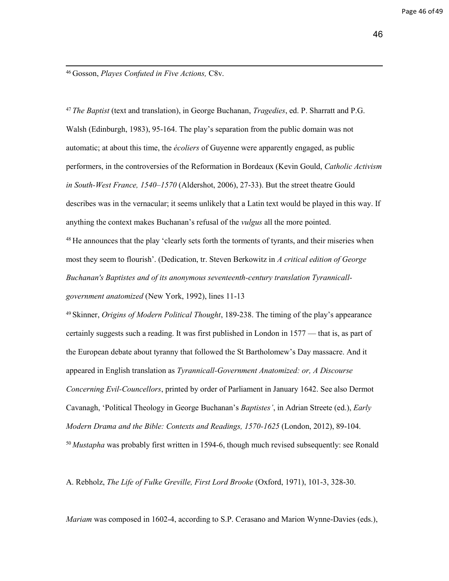<sup>46</sup>Gosson, *Playes Confuted in Five Actions,* C8v.

<sup>47</sup>*The Baptist* (text and translation), in George Buchanan, *Tragedies*, ed. P. Sharratt and P.G. Walsh (Edinburgh, 1983), 95-164. The play's separation from the public domain was not automatic; at about this time, the *écoliers* of Guyenne were apparently engaged, as public performers, in the controversies of the Reformation in Bordeaux (Kevin Gould, *Catholic Activism in South-West France, 1540–1570* (Aldershot, 2006), 27-33). But the street theatre Gould describes was in the vernacular; it seems unlikely that a Latin text would be played in this way. If anything the context makes Buchanan's refusal of the *vulgus* all the more pointed. <sup>48</sup> He announces that the play 'clearly sets forth the torments of tyrants, and their miseries when most they seem to flourish'. (Dedication, tr. Steven Berkowitz in *[A critical edition of George](https://copac.jisc.ac.uk/search?title=A%20critical%20edition%20of%20George%20Buchanan%27s%20Baptistes%20and%20of%20its%20anonymous%20seventeenth-century%20translation%20Tyrannicall-government%20anatomized) [Buchanan's Baptistes and of its anonymous seventeenth-century translation Tyrannicall](https://copac.jisc.ac.uk/search?title=A%20critical%20edition%20of%20George%20Buchanan%27s%20Baptistes%20and%20of%20its%20anonymous%20seventeenth-century%20translation%20Tyrannicall-government%20anatomized)[government anatomized](https://copac.jisc.ac.uk/search?title=A%20critical%20edition%20of%20George%20Buchanan%27s%20Baptistes%20and%20of%20its%20anonymous%20seventeenth-century%20translation%20Tyrannicall-government%20anatomized)* (New York, 1992), lines 11-13

<sup>49</sup>Skinner, *Origins of Modern Political Thought*, 189-238. The timing of the play's appearance certainly suggests such a reading. It was first published in London in 1577 — that is, as part of the European debate about tyranny that followed the St Bartholomew's Day massacre. And it appeared in English translation as *Tyrannicall-Government Anatomized: or, A Discourse Concerning Evil-Councellors*, printed by order of Parliament in January 1642. See also Dermot Cavanagh, 'Political Theology in George Buchanan's *Baptistes'*, in Adrian Streete (ed.), *Early Modern Drama and the Bible: Contexts and Readings, 1570-1625* (London, 2012), 89-104. <sup>50</sup>*Mustapha* was probably first written in 1594-6, though much revised subsequently: see Ronald

A. Rebholz, *The Life of Fulke Greville, First Lord Brooke* (Oxford, 1971), 101-3, 328-30.

*Mariam* was composed in 1602-4, according to S.P. Cerasano and Marion Wynne-Davies (eds.),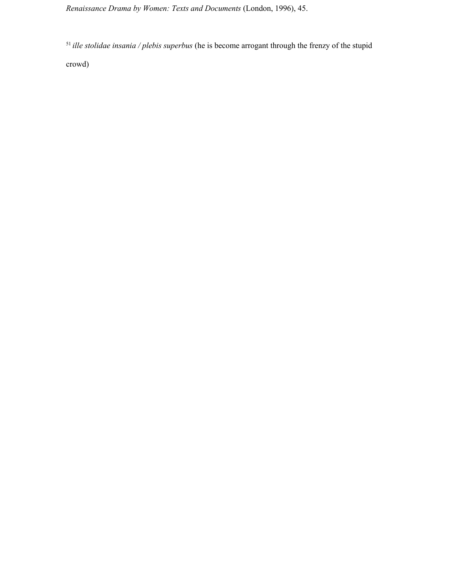*Renaissance Drama by Women: Texts and Documents* (London, 1996), 45.

<sup>51</sup>*ille stolidae insania / plebis superbus* (he is become arrogant through the frenzy of the stupid

crowd)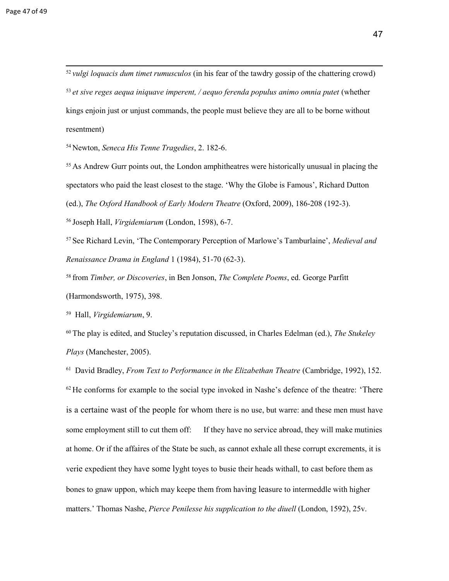<sup>52</sup>*vulgi loquacis dum timet rumusculos* (in his fear of the tawdry gossip of the chattering crowd) <sup>53</sup> et sive reges aequa iniquave imperent, / aequo ferenda populus animo omnia putet (whether kings enjoin just or unjust commands, the people must believe they are all to be borne without resentment)

<sup>54</sup>Newton, *Seneca His Tenne Tragedies*, 2. 182-6.

 $55$  As Andrew Gurr points out, the London amphitheatres were historically unusual in placing the spectators who paid the least closest to the stage. 'Why the Globe is Famous', Richard Dutton

(ed.), *The Oxford Handbook of Early Modern Theatre* (Oxford, 2009), 186-208 (192-3).

<sup>56</sup>Joseph Hall, *Virgidemiarum* (London, 1598), 6-7.

<sup>57</sup>See Richard Levin, 'The Contemporary Perception of Marlowe's Tamburlaine', *Medieval and Renaissance Drama in England* 1 (1984), 51-70 (62-3).

<sup>58</sup>from *Timber, or Discoveries*, in Ben Jonson, *The Complete Poems*, ed. George Parfitt (Harmondsworth, 1975), 398.

<sup>59</sup>Hall, *Virgidemiarum*, 9.

<sup>60</sup>The play is edited, and Stucley's reputation discussed, in Charles Edelman (ed.), *The Stukeley Plays* (Manchester, 2005).

<sup>61</sup> David Bradley, *From Text to Performance in the Elizabethan Theatre* (Cambridge, 1992), 152.  $62$  He conforms for example to the social type invoked in Nashe's defence of the theatre: 'There is a certaine wast of the people for whom there is no use, but warre: and these men must have some employment still to cut them off: If they have no service abroad, they will make mutinies at home. Or if the affaires of the State be such, as cannot exhale all these corrupt excrements, it is verie expedient they have some lyght toyes to busie their heads withall, to cast before them as bones to gnaw uppon, which may keepe them from having leasure to intermeddle with higher matters.' Thomas Nashe, *Pierce Penilesse his supplication to the diuell* (London, 1592), 25v.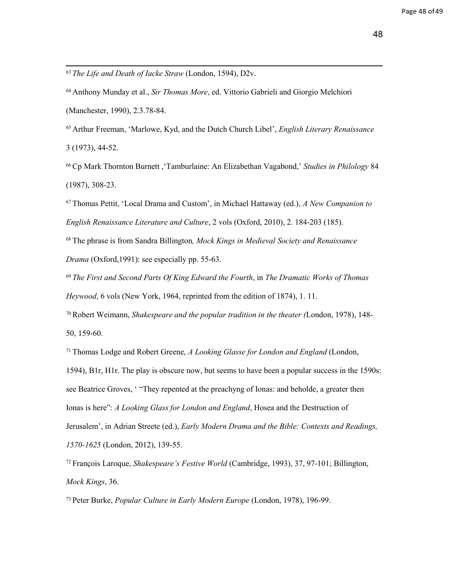- <sup>63</sup>*The Life and Death of Iacke Straw* (London, 1594), D2v.
- <sup>64</sup>Anthony Munday et al., *Sir Thomas More*, ed. Vittorio Gabrieli and Giorgio Melchiori (Manchester, 1990), 2.3.78-84.
- <sup>65</sup>Arthur Freeman, 'Marlowe, Kyd, and the Dutch Church Libel', *English Literary Renaissance* 3 (1973), 44-52.
- <sup>66</sup>Cp Mark Thornton Burnett ,'Tamburlaine: An Elizabethan Vagabond,' *Studies in Philology* 84 (1987), 308-23.
- <sup>67</sup>Thomas Pettit, 'Local Drama and Custom', in Michael Hattaway (ed.), *A New Companion to English Renaissance Literature and Culture*, 2 vols (Oxford, 2010), 2. 184-203 (185).
- <sup>68</sup>The phrase is from Sandra Billington*, Mock Kings in Medieval Society and Renaissance Drama* (Oxford,1991): see especially pp. 55-63.
- <sup>69</sup>*The First and Second Parts Of King Edward the Fourth*, in *The Dramatic Works of Thomas Heywood*, 6 vols (New York, 1964, reprinted from the edition of 1874), 1. 11.
- <sup>70</sup>Robert Weimann, *Shakespeare and the popular tradition in the theater (*London, 1978), 148- 50, 159-60.
- <sup>71</sup>Thomas Lodge and Robert Greene, *A Looking Glasse for London and England* (London,
- 1594), B1r, H1r. The play is obscure now, but seems to have been a popular success in the 1590s: see Beatrice Groves, ' "They repented at the preachyng of Ionas: and beholde, a greater then Ionas is here": *A Looking Glass for London and England*, Hosea and the Destruction of Jerusalem', in Adrian Streete (ed.), *Early Modern Drama and the Bible: Contexts and Readings, 1570-1625* (London, 2012), 139-55.
- <sup>72</sup>François Laroque, *Shakespeare's Festive World* (Cambridge, 1993), 37, 97-101; Billington, *Mock Kings*, 36.
- 73 Peter Burke, *Popular Culture in Early Modern Europe* (London, 1978), 196-99.